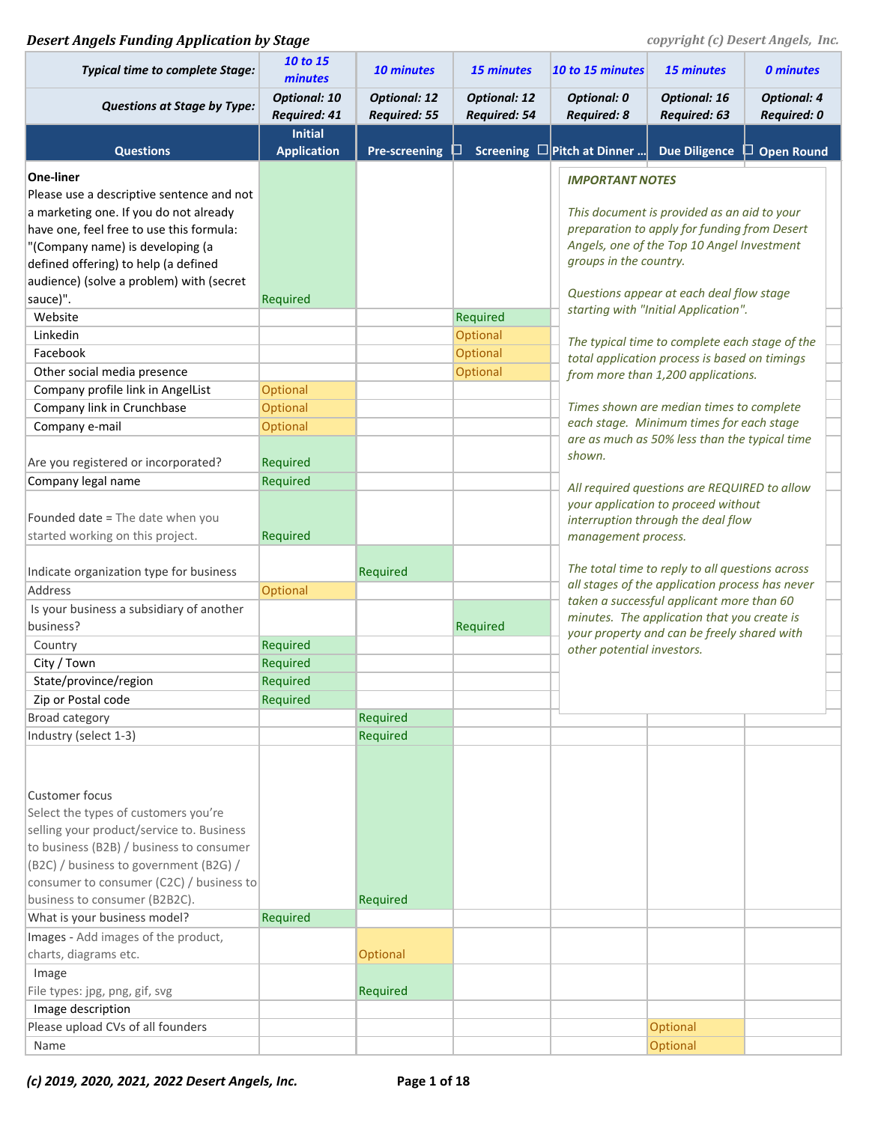### **Desert Angels Funding Application by Stage** *COPYFING COPYFING COPYFING COPYFING COPYFING COPYFING COPYFING COPYFING COPYFING COPYFING COPYFING COPYFING COPYFING COPYFING COPYFING COPYFING COPYFING COPYFING COPYFING COPY*

| <b>Typical time to complete Stage:</b>               | 10 to 15<br>minutes                        | 10 minutes                                 | <b>15 minutes</b>                   | 10 to 15 minutes                                                                                                                               | <b>15 minutes</b>                              | <b>0 minutes</b>                         |  |  |
|------------------------------------------------------|--------------------------------------------|--------------------------------------------|-------------------------------------|------------------------------------------------------------------------------------------------------------------------------------------------|------------------------------------------------|------------------------------------------|--|--|
| <b>Questions at Stage by Type:</b>                   | <b>Optional: 10</b><br><b>Required: 41</b> | <b>Optional: 12</b><br><b>Required: 55</b> | <b>Optional: 12</b><br>Required: 54 | <b>Optional: 0</b><br><b>Required: 8</b>                                                                                                       | <b>Optional: 16</b><br><b>Required: 63</b>     | <b>Optional: 4</b><br><b>Required: 0</b> |  |  |
|                                                      | <b>Initial</b>                             |                                            |                                     |                                                                                                                                                |                                                |                                          |  |  |
| <b>Questions</b>                                     | <b>Application</b>                         | <b>Pre-screening</b>                       |                                     | Screening $\Box$ Pitch at Dinner                                                                                                               | <b>Due Diligence</b>                           | $\Box$ Open Round                        |  |  |
| <b>One-liner</b>                                     |                                            |                                            |                                     | <b>IMPORTANT NOTES</b>                                                                                                                         |                                                |                                          |  |  |
| Please use a descriptive sentence and not            |                                            |                                            |                                     |                                                                                                                                                |                                                |                                          |  |  |
| a marketing one. If you do not already               |                                            |                                            |                                     |                                                                                                                                                | This document is provided as an aid to your    |                                          |  |  |
| have one, feel free to use this formula:             |                                            |                                            |                                     |                                                                                                                                                | preparation to apply for funding from Desert   |                                          |  |  |
| "(Company name) is developing (a                     |                                            |                                            |                                     |                                                                                                                                                | Angels, one of the Top 10 Angel Investment     |                                          |  |  |
| defined offering) to help (a defined                 |                                            |                                            |                                     | groups in the country.                                                                                                                         |                                                |                                          |  |  |
| audience) (solve a problem) with (secret<br>sauce)". | Required                                   |                                            |                                     |                                                                                                                                                | Questions appear at each deal flow stage       |                                          |  |  |
| Website                                              |                                            |                                            | Required                            |                                                                                                                                                | starting with "Initial Application".           |                                          |  |  |
| Linkedin                                             |                                            |                                            | Optional                            |                                                                                                                                                | The typical time to complete each stage of the |                                          |  |  |
| Facebook                                             |                                            |                                            | Optional                            |                                                                                                                                                | total application process is based on timings  |                                          |  |  |
| Other social media presence                          |                                            |                                            | Optional                            |                                                                                                                                                | from more than 1,200 applications.             |                                          |  |  |
| Company profile link in AngelList                    | Optional                                   |                                            |                                     |                                                                                                                                                |                                                |                                          |  |  |
| Company link in Crunchbase                           | <b>Optional</b>                            |                                            |                                     |                                                                                                                                                | Times shown are median times to complete       |                                          |  |  |
| Company e-mail                                       | Optional                                   |                                            |                                     |                                                                                                                                                | each stage. Minimum times for each stage       |                                          |  |  |
|                                                      |                                            |                                            |                                     | are as much as 50% less than the typical time<br>shown.<br>All required questions are REQUIRED to allow<br>your application to proceed without |                                                |                                          |  |  |
| Are you registered or incorporated?                  | Required                                   |                                            |                                     |                                                                                                                                                |                                                |                                          |  |  |
| Company legal name                                   | Required                                   |                                            |                                     |                                                                                                                                                |                                                |                                          |  |  |
|                                                      |                                            |                                            |                                     |                                                                                                                                                |                                                |                                          |  |  |
| Founded date = The date when you                     |                                            |                                            |                                     | interruption through the deal flow<br>management process.                                                                                      |                                                |                                          |  |  |
| started working on this project.                     | Required                                   |                                            |                                     |                                                                                                                                                |                                                |                                          |  |  |
|                                                      |                                            |                                            |                                     | The total time to reply to all questions across<br>all stages of the application process has never                                             |                                                |                                          |  |  |
| Indicate organization type for business              |                                            | Required                                   |                                     |                                                                                                                                                |                                                |                                          |  |  |
| Address                                              | Optional                                   |                                            |                                     |                                                                                                                                                | taken a successful applicant more than 60      |                                          |  |  |
| Is your business a subsidiary of another             |                                            |                                            |                                     |                                                                                                                                                | minutes. The application that you create is    |                                          |  |  |
| business?<br>Country                                 | Required                                   |                                            | Required                            |                                                                                                                                                | your property and can be freely shared with    |                                          |  |  |
| City / Town                                          | Required                                   |                                            |                                     | other potential investors.                                                                                                                     |                                                |                                          |  |  |
| State/province/region                                | Required                                   |                                            |                                     |                                                                                                                                                |                                                |                                          |  |  |
| Zip or Postal code                                   | Required                                   |                                            |                                     |                                                                                                                                                |                                                |                                          |  |  |
| <b>Broad category</b>                                |                                            | Required                                   |                                     |                                                                                                                                                |                                                |                                          |  |  |
| Industry (select 1-3)                                |                                            | Required                                   |                                     |                                                                                                                                                |                                                |                                          |  |  |
|                                                      |                                            |                                            |                                     |                                                                                                                                                |                                                |                                          |  |  |
| <b>Customer focus</b>                                |                                            |                                            |                                     |                                                                                                                                                |                                                |                                          |  |  |
| Select the types of customers you're                 |                                            |                                            |                                     |                                                                                                                                                |                                                |                                          |  |  |
| selling your product/service to. Business            |                                            |                                            |                                     |                                                                                                                                                |                                                |                                          |  |  |
| to business (B2B) / business to consumer             |                                            |                                            |                                     |                                                                                                                                                |                                                |                                          |  |  |
| (B2C) / business to government (B2G) /               |                                            |                                            |                                     |                                                                                                                                                |                                                |                                          |  |  |
| consumer to consumer (C2C) / business to             |                                            |                                            |                                     |                                                                                                                                                |                                                |                                          |  |  |
| business to consumer (B2B2C).                        |                                            | Required                                   |                                     |                                                                                                                                                |                                                |                                          |  |  |
| What is your business model?                         | Required                                   |                                            |                                     |                                                                                                                                                |                                                |                                          |  |  |
| Images - Add images of the product,                  |                                            |                                            |                                     |                                                                                                                                                |                                                |                                          |  |  |
| charts, diagrams etc.                                |                                            | Optional                                   |                                     |                                                                                                                                                |                                                |                                          |  |  |
| Image                                                |                                            |                                            |                                     |                                                                                                                                                |                                                |                                          |  |  |
| File types: jpg, png, gif, svg                       |                                            | Required                                   |                                     |                                                                                                                                                |                                                |                                          |  |  |
| Image description                                    |                                            |                                            |                                     |                                                                                                                                                |                                                |                                          |  |  |
| Please upload CVs of all founders                    |                                            |                                            |                                     |                                                                                                                                                | Optional                                       |                                          |  |  |
| Name                                                 |                                            |                                            |                                     |                                                                                                                                                | Optional                                       |                                          |  |  |

*(c) 2019, 2020, 2021, 2022 Desert Angels, Inc.* **Page 1 of 18**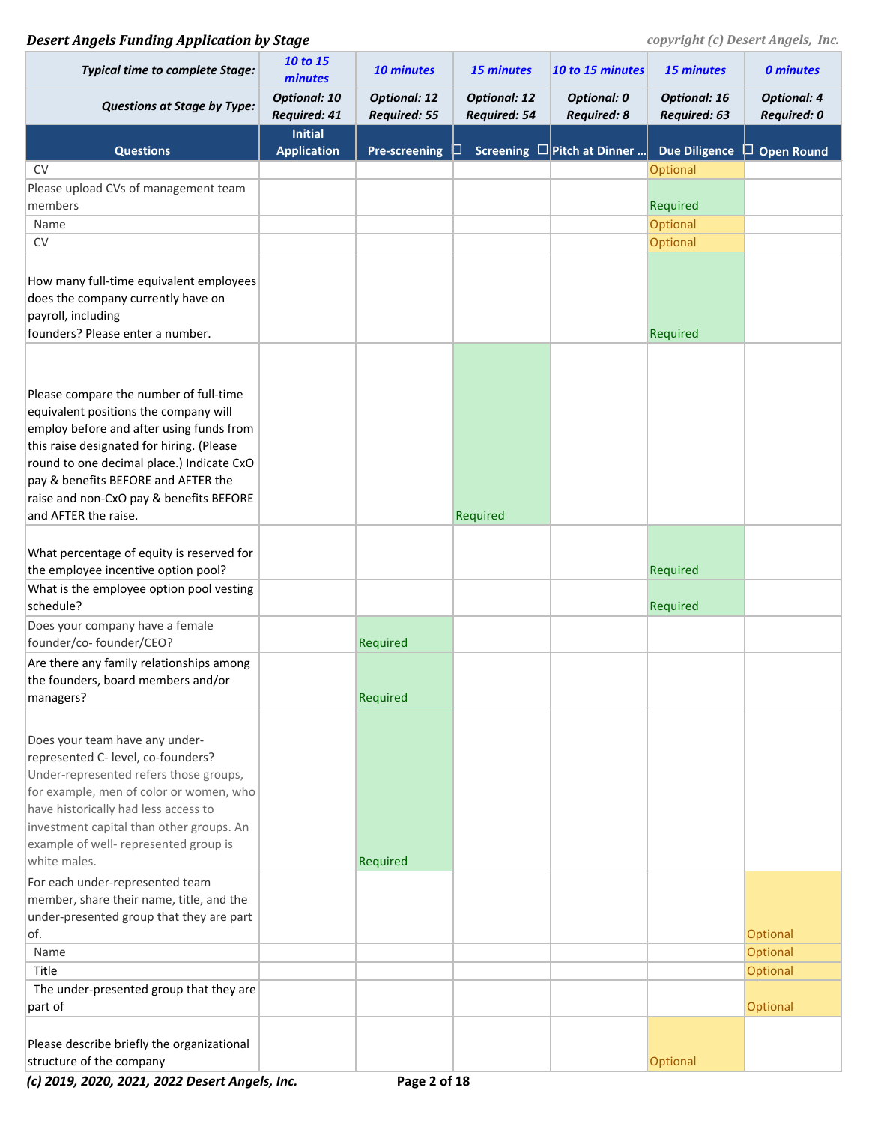| <b>Typical time to complete Stage:</b>                          | 10 to 15<br>minutes                  | 10 minutes                                 | <b>15 minutes</b>                   | 10 to 15 minutes                         | <b>15 minutes</b>                   | <b>0 minutes</b>                  |
|-----------------------------------------------------------------|--------------------------------------|--------------------------------------------|-------------------------------------|------------------------------------------|-------------------------------------|-----------------------------------|
| <b>Questions at Stage by Type:</b>                              | <b>Optional: 10</b><br>Required: 41  | <b>Optional: 12</b><br><b>Required: 55</b> | <b>Optional: 12</b><br>Required: 54 | <b>Optional: 0</b><br><b>Required: 8</b> | <b>Optional: 16</b><br>Required: 63 | <b>Optional: 4</b><br>Required: 0 |
| <b>Questions</b>                                                | <b>Initial</b><br><b>Application</b> | <b>Pre-screening</b>                       |                                     | Screening $\square$ Pitch at Dinner      | <b>Due Diligence</b>                | $\Box$ Open Round                 |
| <b>CV</b>                                                       |                                      |                                            |                                     |                                          | Optional                            |                                   |
| Please upload CVs of management team                            |                                      |                                            |                                     |                                          |                                     |                                   |
| members                                                         |                                      |                                            |                                     |                                          | <b>Required</b>                     |                                   |
| Name                                                            |                                      |                                            |                                     |                                          | Optional                            |                                   |
| CV                                                              |                                      |                                            |                                     |                                          | Optional                            |                                   |
|                                                                 |                                      |                                            |                                     |                                          |                                     |                                   |
| How many full-time equivalent employees                         |                                      |                                            |                                     |                                          |                                     |                                   |
| does the company currently have on                              |                                      |                                            |                                     |                                          |                                     |                                   |
| payroll, including                                              |                                      |                                            |                                     |                                          |                                     |                                   |
| founders? Please enter a number.                                |                                      |                                            |                                     |                                          | Required                            |                                   |
|                                                                 |                                      |                                            |                                     |                                          |                                     |                                   |
|                                                                 |                                      |                                            |                                     |                                          |                                     |                                   |
| Please compare the number of full-time                          |                                      |                                            |                                     |                                          |                                     |                                   |
| equivalent positions the company will                           |                                      |                                            |                                     |                                          |                                     |                                   |
| employ before and after using funds from                        |                                      |                                            |                                     |                                          |                                     |                                   |
| this raise designated for hiring. (Please                       |                                      |                                            |                                     |                                          |                                     |                                   |
| round to one decimal place.) Indicate CxO                       |                                      |                                            |                                     |                                          |                                     |                                   |
| pay & benefits BEFORE and AFTER the                             |                                      |                                            |                                     |                                          |                                     |                                   |
| raise and non-CxO pay & benefits BEFORE<br>and AFTER the raise. |                                      |                                            | Required                            |                                          |                                     |                                   |
|                                                                 |                                      |                                            |                                     |                                          |                                     |                                   |
| What percentage of equity is reserved for                       |                                      |                                            |                                     |                                          |                                     |                                   |
| the employee incentive option pool?                             |                                      |                                            |                                     |                                          | Required                            |                                   |
| What is the employee option pool vesting                        |                                      |                                            |                                     |                                          |                                     |                                   |
| schedule?                                                       |                                      |                                            |                                     |                                          | Required                            |                                   |
| Does your company have a female                                 |                                      |                                            |                                     |                                          |                                     |                                   |
| founder/co-founder/CEO?                                         |                                      | Required                                   |                                     |                                          |                                     |                                   |
| Are there any family relationships among                        |                                      |                                            |                                     |                                          |                                     |                                   |
| the founders, board members and/or                              |                                      |                                            |                                     |                                          |                                     |                                   |
| managers?                                                       |                                      | Required                                   |                                     |                                          |                                     |                                   |
|                                                                 |                                      |                                            |                                     |                                          |                                     |                                   |
| Does your team have any under-                                  |                                      |                                            |                                     |                                          |                                     |                                   |
| represented C- level, co-founders?                              |                                      |                                            |                                     |                                          |                                     |                                   |
| Under-represented refers those groups,                          |                                      |                                            |                                     |                                          |                                     |                                   |
| for example, men of color or women, who                         |                                      |                                            |                                     |                                          |                                     |                                   |
| have historically had less access to                            |                                      |                                            |                                     |                                          |                                     |                                   |
| investment capital than other groups. An                        |                                      |                                            |                                     |                                          |                                     |                                   |
| example of well- represented group is                           |                                      |                                            |                                     |                                          |                                     |                                   |
| white males.                                                    |                                      | Required                                   |                                     |                                          |                                     |                                   |
| For each under-represented team                                 |                                      |                                            |                                     |                                          |                                     |                                   |
| member, share their name, title, and the                        |                                      |                                            |                                     |                                          |                                     |                                   |
| under-presented group that they are part                        |                                      |                                            |                                     |                                          |                                     |                                   |
| of.                                                             |                                      |                                            |                                     |                                          |                                     | <b>Optional</b>                   |
| Name                                                            |                                      |                                            |                                     |                                          |                                     | <b>Optional</b>                   |
| Title                                                           |                                      |                                            |                                     |                                          |                                     | <b>Optional</b>                   |
| The under-presented group that they are                         |                                      |                                            |                                     |                                          |                                     |                                   |
| part of                                                         |                                      |                                            |                                     |                                          |                                     | <b>Optional</b>                   |
|                                                                 |                                      |                                            |                                     |                                          |                                     |                                   |
| Please describe briefly the organizational                      |                                      |                                            |                                     |                                          |                                     |                                   |
| structure of the company                                        |                                      |                                            |                                     |                                          | Optional                            |                                   |

*(c) 2019, 2020, 2021, 2022 Desert Angels, Inc.* **Page 2 of 18**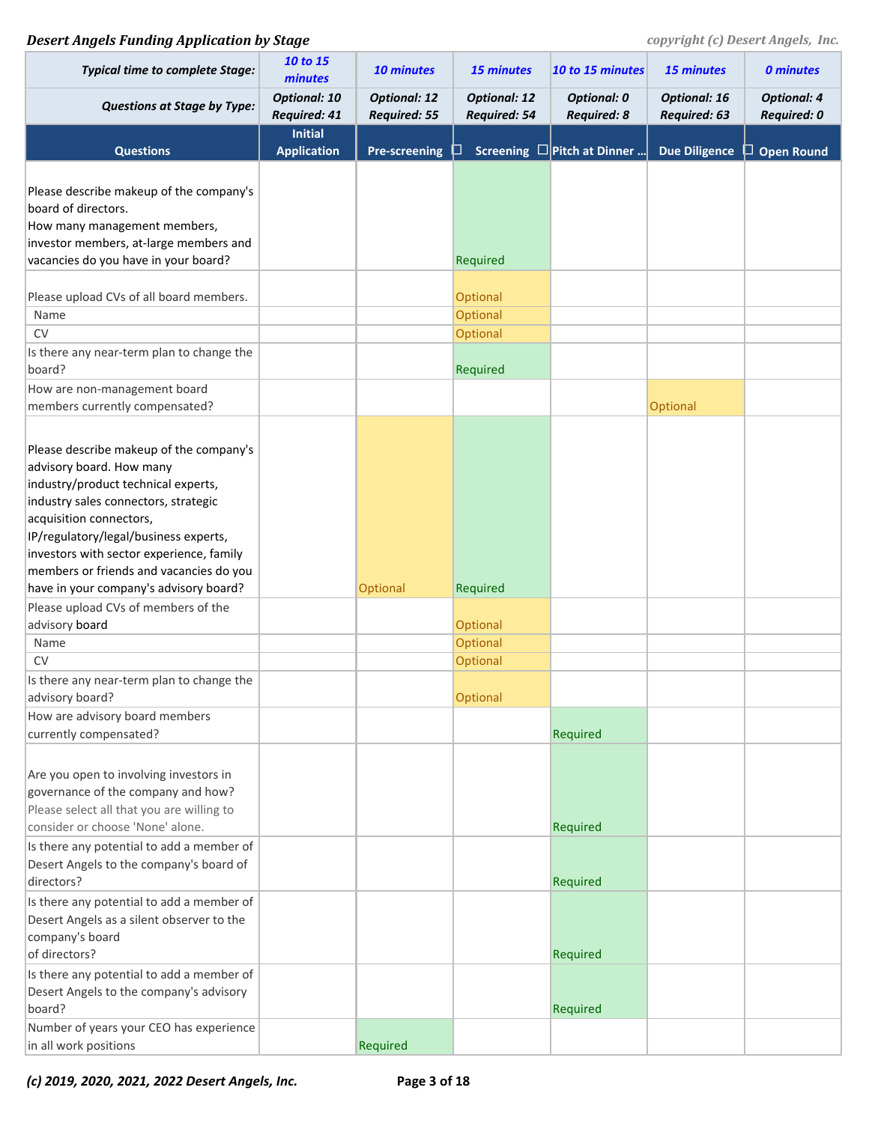## **Desert Angels Funding Application by Stage** *COPYFING COPYFING COPYFING COPYFING COPYFING COPYFING COPYFING COPYFING COPYFING COPYFING COPYFING COPYFING COPYFING COPYFING COPYFING COPYFING COPYFING COPYFING COPYFING COPY*

| <b>Typical time to complete Stage:</b>                                                                                                                                                                                                                                                                                                                                                                                                                                                                                                                                                                                                                                                         | 10 to 15<br>minutes                  | <b>10 minutes</b>                          | 15 minutes                                                                    | 10 to 15 minutes                         | 15 minutes                          | <b>0 minutes</b>                         |
|------------------------------------------------------------------------------------------------------------------------------------------------------------------------------------------------------------------------------------------------------------------------------------------------------------------------------------------------------------------------------------------------------------------------------------------------------------------------------------------------------------------------------------------------------------------------------------------------------------------------------------------------------------------------------------------------|--------------------------------------|--------------------------------------------|-------------------------------------------------------------------------------|------------------------------------------|-------------------------------------|------------------------------------------|
| <b>Questions at Stage by Type:</b>                                                                                                                                                                                                                                                                                                                                                                                                                                                                                                                                                                                                                                                             | <b>Optional: 10</b><br>Required: 41  | <b>Optional: 12</b><br><b>Required: 55</b> | <b>Optional: 12</b><br>Required: 54                                           | <b>Optional: 0</b><br><b>Required: 8</b> | <b>Optional: 16</b><br>Required: 63 | <b>Optional: 4</b><br><b>Required: 0</b> |
| <b>Questions</b>                                                                                                                                                                                                                                                                                                                                                                                                                                                                                                                                                                                                                                                                               | <b>Initial</b><br><b>Application</b> | <b>Pre-screening</b>                       |                                                                               | Screening $\square$ Pitch at Dinner      | <b>Due Diligence</b>                | $\Box$ Open Round                        |
|                                                                                                                                                                                                                                                                                                                                                                                                                                                                                                                                                                                                                                                                                                |                                      |                                            |                                                                               |                                          |                                     |                                          |
| Please describe makeup of the company's<br>board of directors.<br>How many management members,<br>investor members, at-large members and<br>vacancies do you have in your board?                                                                                                                                                                                                                                                                                                                                                                                                                                                                                                               |                                      |                                            | Required                                                                      |                                          |                                     |                                          |
|                                                                                                                                                                                                                                                                                                                                                                                                                                                                                                                                                                                                                                                                                                |                                      |                                            |                                                                               |                                          |                                     |                                          |
| Please upload CVs of all board members.                                                                                                                                                                                                                                                                                                                                                                                                                                                                                                                                                                                                                                                        |                                      |                                            | <b>Optional</b>                                                               |                                          |                                     |                                          |
| Name                                                                                                                                                                                                                                                                                                                                                                                                                                                                                                                                                                                                                                                                                           |                                      |                                            | Optional                                                                      |                                          |                                     |                                          |
| <b>CV</b>                                                                                                                                                                                                                                                                                                                                                                                                                                                                                                                                                                                                                                                                                      |                                      |                                            | <b>Optional</b>                                                               |                                          |                                     |                                          |
| Is there any near-term plan to change the<br>board?                                                                                                                                                                                                                                                                                                                                                                                                                                                                                                                                                                                                                                            |                                      |                                            | Required                                                                      |                                          |                                     |                                          |
| How are non-management board                                                                                                                                                                                                                                                                                                                                                                                                                                                                                                                                                                                                                                                                   |                                      |                                            |                                                                               |                                          |                                     |                                          |
| members currently compensated?                                                                                                                                                                                                                                                                                                                                                                                                                                                                                                                                                                                                                                                                 |                                      |                                            |                                                                               |                                          | Optional                            |                                          |
| Please describe makeup of the company's<br>advisory board. How many<br>industry/product technical experts,<br>industry sales connectors, strategic<br>acquisition connectors,<br>IP/regulatory/legal/business experts,<br>investors with sector experience, family<br>members or friends and vacancies do you<br>have in your company's advisory board?<br>Please upload CVs of members of the<br>advisory board<br>Name<br><b>CV</b><br>Is there any near-term plan to change the<br>advisory board?<br>How are advisory board members<br>currently compensated?<br>Are you open to involving investors in<br>governance of the company and how?<br>Please select all that you are willing to |                                      | <b>Optional</b>                            | Required<br><b>Optional</b><br><b>Optional</b><br>Optional<br><b>Optional</b> | Required                                 |                                     |                                          |
| consider or choose 'None' alone.<br>Is there any potential to add a member of                                                                                                                                                                                                                                                                                                                                                                                                                                                                                                                                                                                                                  |                                      |                                            |                                                                               | Required                                 |                                     |                                          |
| Desert Angels to the company's board of<br>directors?                                                                                                                                                                                                                                                                                                                                                                                                                                                                                                                                                                                                                                          |                                      |                                            |                                                                               | Required                                 |                                     |                                          |
| Is there any potential to add a member of<br>Desert Angels as a silent observer to the<br>company's board<br>of directors?                                                                                                                                                                                                                                                                                                                                                                                                                                                                                                                                                                     |                                      |                                            |                                                                               | Required                                 |                                     |                                          |
| Is there any potential to add a member of<br>Desert Angels to the company's advisory<br>board?                                                                                                                                                                                                                                                                                                                                                                                                                                                                                                                                                                                                 |                                      |                                            |                                                                               | Required                                 |                                     |                                          |
| Number of years your CEO has experience<br>in all work positions                                                                                                                                                                                                                                                                                                                                                                                                                                                                                                                                                                                                                               |                                      | Required                                   |                                                                               |                                          |                                     |                                          |

*(c) 2019, 2020, 2021, 2022 Desert Angels, Inc.* **Page 3 of 18**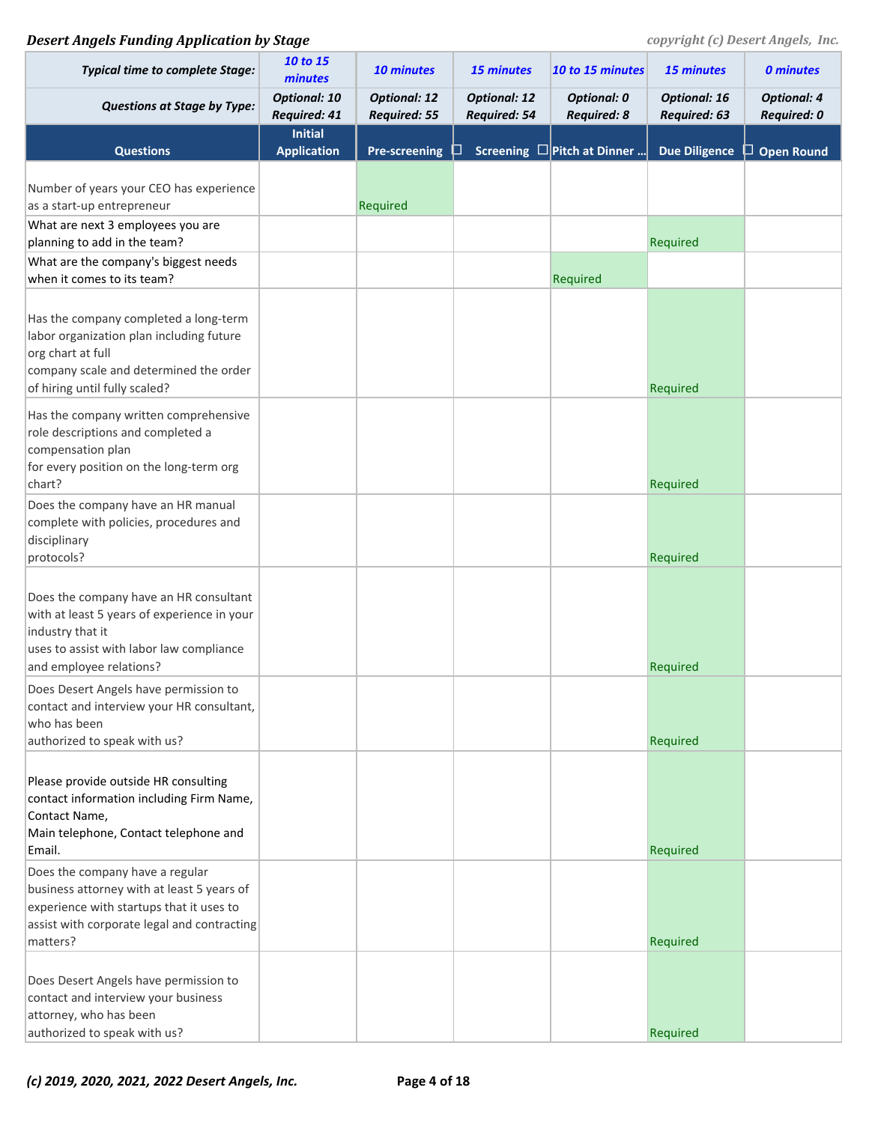| <b>Typical time to complete Stage:</b>                                                                                                                                               | 10 to 15<br>minutes                        | <b>10 minutes</b>                          | 15 minutes                                 | 10 to 15 minutes                         | <b>15 minutes</b>                   | <b>0 minutes</b>                         |
|--------------------------------------------------------------------------------------------------------------------------------------------------------------------------------------|--------------------------------------------|--------------------------------------------|--------------------------------------------|------------------------------------------|-------------------------------------|------------------------------------------|
| <b>Questions at Stage by Type:</b>                                                                                                                                                   | <b>Optional: 10</b><br><b>Required: 41</b> | <b>Optional: 12</b><br><b>Required: 55</b> | <b>Optional: 12</b><br><b>Required: 54</b> | <b>Optional: 0</b><br><b>Required: 8</b> | <b>Optional: 16</b><br>Required: 63 | <b>Optional: 4</b><br><b>Required: 0</b> |
| <b>Questions</b>                                                                                                                                                                     | <b>Initial</b><br><b>Application</b>       | <b>Pre-screening</b>                       |                                            | Screening $\square$ Pitch at Dinner      | <b>Due Diligence</b>                | $\Box$ Open Round                        |
| Number of years your CEO has experience<br>as a start-up entrepreneur                                                                                                                |                                            | Required                                   |                                            |                                          |                                     |                                          |
| What are next 3 employees you are<br>planning to add in the team?                                                                                                                    |                                            |                                            |                                            |                                          | Required                            |                                          |
| What are the company's biggest needs<br>when it comes to its team?                                                                                                                   |                                            |                                            |                                            | Required                                 |                                     |                                          |
| Has the company completed a long-term<br>labor organization plan including future<br>org chart at full<br>company scale and determined the order<br>of hiring until fully scaled?    |                                            |                                            |                                            |                                          | Required                            |                                          |
| Has the company written comprehensive<br>role descriptions and completed a<br>compensation plan<br>for every position on the long-term org<br>chart?                                 |                                            |                                            |                                            |                                          | Required                            |                                          |
| Does the company have an HR manual<br>complete with policies, procedures and<br>disciplinary<br>protocols?                                                                           |                                            |                                            |                                            |                                          | Required                            |                                          |
| Does the company have an HR consultant<br>with at least 5 years of experience in your<br>industry that it<br>uses to assist with labor law compliance<br>and employee relations?     |                                            |                                            |                                            |                                          | Required                            |                                          |
| Does Desert Angels have permission to<br>contact and interview your HR consultant,<br>who has been<br>authorized to speak with us?                                                   |                                            |                                            |                                            |                                          | Required                            |                                          |
| Please provide outside HR consulting<br>contact information including Firm Name,<br>Contact Name,<br>Main telephone, Contact telephone and<br>Email.                                 |                                            |                                            |                                            |                                          | Required                            |                                          |
| Does the company have a regular<br>business attorney with at least 5 years of<br>experience with startups that it uses to<br>assist with corporate legal and contracting<br>matters? |                                            |                                            |                                            |                                          | Required                            |                                          |
| Does Desert Angels have permission to<br>contact and interview your business<br>attorney, who has been<br>authorized to speak with us?                                               |                                            |                                            |                                            |                                          | Required                            |                                          |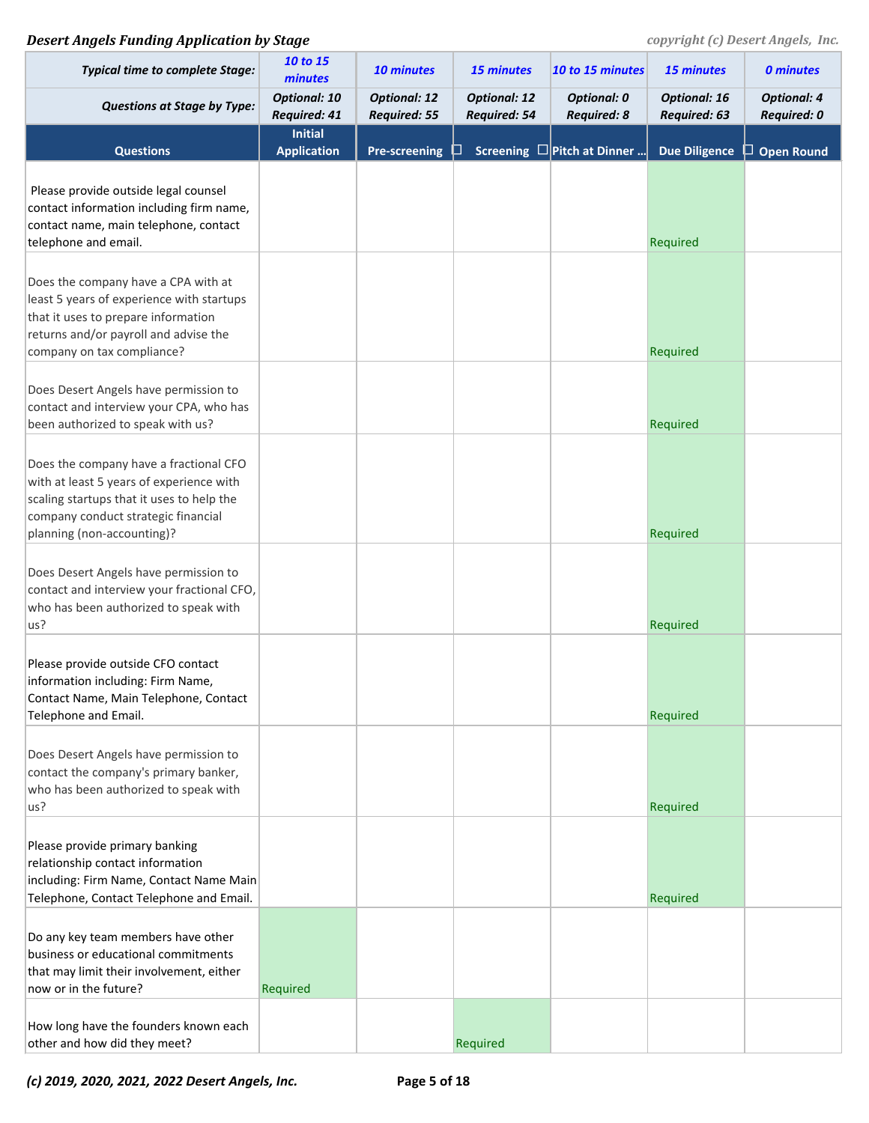| <b>Typical time to complete Stage:</b>                                                                                                                                                               | 10 to 15<br>minutes                  | 10 minutes                                 | <b>15 minutes</b>                   | 10 to 15 minutes                         | 15 minutes                          | <b>0 minutes</b>                  |
|------------------------------------------------------------------------------------------------------------------------------------------------------------------------------------------------------|--------------------------------------|--------------------------------------------|-------------------------------------|------------------------------------------|-------------------------------------|-----------------------------------|
| <b>Questions at Stage by Type:</b>                                                                                                                                                                   | <b>Optional: 10</b><br>Required: 41  | <b>Optional: 12</b><br><b>Required: 55</b> | <b>Optional: 12</b><br>Required: 54 | <b>Optional: 0</b><br><b>Required: 8</b> | <b>Optional: 16</b><br>Required: 63 | <b>Optional: 4</b><br>Required: 0 |
| <b>Questions</b>                                                                                                                                                                                     | <b>Initial</b><br><b>Application</b> | <b>Pre-screening</b>                       |                                     | Screening $\square$ Pitch at Dinner      | <b>Due Diligence</b>                | <b>Open Round</b><br>ப            |
| Please provide outside legal counsel<br>contact information including firm name,<br>contact name, main telephone, contact<br>telephone and email.                                                    |                                      |                                            |                                     |                                          | Required                            |                                   |
| Does the company have a CPA with at<br>least 5 years of experience with startups<br>that it uses to prepare information<br>returns and/or payroll and advise the<br>company on tax compliance?       |                                      |                                            |                                     |                                          | Required                            |                                   |
| Does Desert Angels have permission to<br>contact and interview your CPA, who has<br>been authorized to speak with us?                                                                                |                                      |                                            |                                     |                                          | Required                            |                                   |
| Does the company have a fractional CFO<br>with at least 5 years of experience with<br>scaling startups that it uses to help the<br>company conduct strategic financial<br>planning (non-accounting)? |                                      |                                            |                                     |                                          | Required                            |                                   |
| Does Desert Angels have permission to<br>contact and interview your fractional CFO,<br>who has been authorized to speak with<br>us?                                                                  |                                      |                                            |                                     |                                          | Required                            |                                   |
| Please provide outside CFO contact<br>information including: Firm Name,<br>Contact Name, Main Telephone, Contact<br>Telephone and Email.                                                             |                                      |                                            |                                     |                                          | Required                            |                                   |
| Does Desert Angels have permission to<br>contact the company's primary banker,<br>who has been authorized to speak with<br>us?                                                                       |                                      |                                            |                                     |                                          | Required                            |                                   |
| Please provide primary banking<br>relationship contact information<br>including: Firm Name, Contact Name Main<br>Telephone, Contact Telephone and Email.                                             |                                      |                                            |                                     |                                          | Required                            |                                   |
| Do any key team members have other<br>business or educational commitments<br>that may limit their involvement, either<br>now or in the future?                                                       | Required                             |                                            |                                     |                                          |                                     |                                   |
| How long have the founders known each<br>other and how did they meet?                                                                                                                                |                                      |                                            | Required                            |                                          |                                     |                                   |

*(c) 2019, 2020, 2021, 2022 Desert Angels, Inc.* **Page 5 of 18**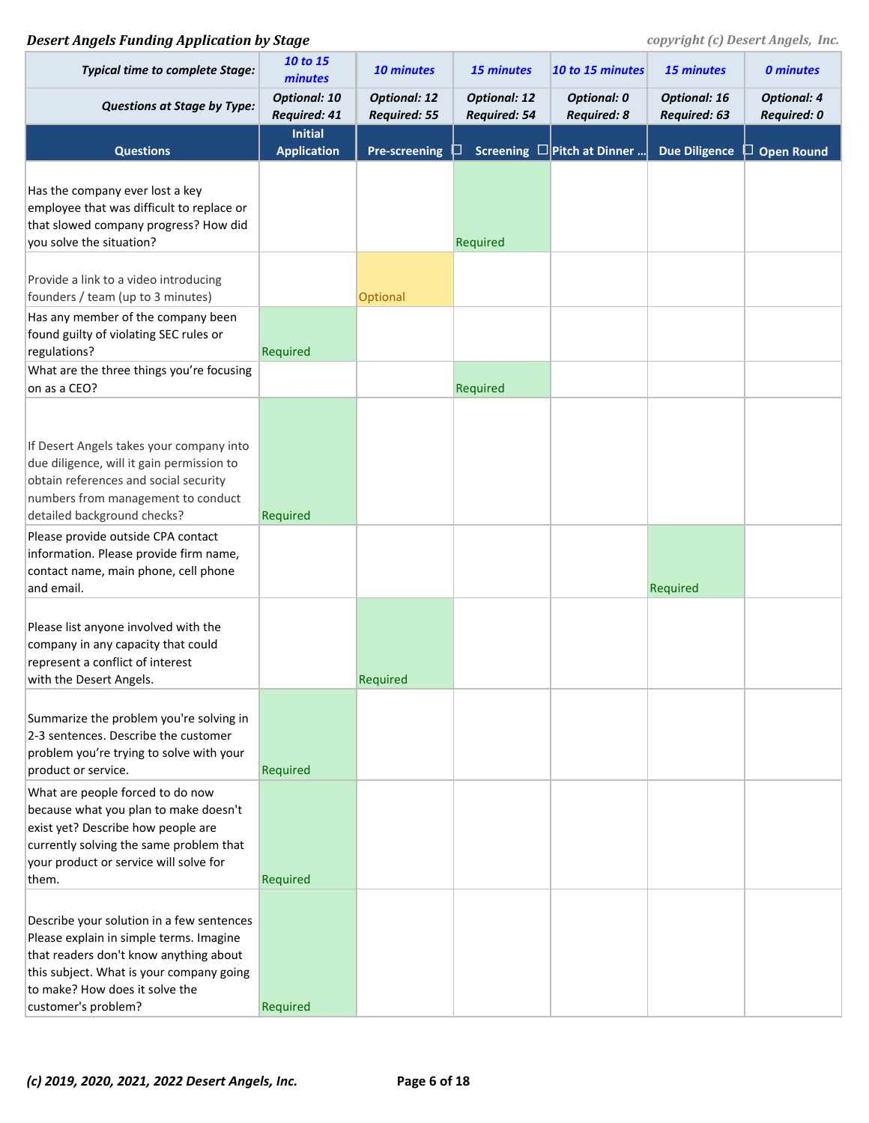| <b>Typical time to complete Stage:</b>                                                                                                                                                                                              | 10 to 15<br>minutes                        | <b>10 minutes</b>                          | <b>15 minutes</b>                          | 10 to 15 minutes                         | 15 minutes                          | <b>0 minutes</b>                  |
|-------------------------------------------------------------------------------------------------------------------------------------------------------------------------------------------------------------------------------------|--------------------------------------------|--------------------------------------------|--------------------------------------------|------------------------------------------|-------------------------------------|-----------------------------------|
| <b>Questions at Stage by Type:</b>                                                                                                                                                                                                  | <b>Optional: 10</b><br><b>Required: 41</b> | <b>Optional: 12</b><br><b>Required: 55</b> | <b>Optional: 12</b><br><b>Required: 54</b> | <b>Optional: 0</b><br><b>Required: 8</b> | <b>Optional: 16</b><br>Required: 63 | <b>Optional: 4</b><br>Required: 0 |
| <b>Questions</b>                                                                                                                                                                                                                    | <b>Initial</b><br><b>Application</b>       | <b>Pre-screening</b>                       |                                            | Screening $\square$ Pitch at Dinner      | <b>Due Diligence</b>                | $\Box$ Open Round                 |
| Has the company ever lost a key<br>employee that was difficult to replace or<br>that slowed company progress? How did<br>you solve the situation?                                                                                   |                                            |                                            | Required                                   |                                          |                                     |                                   |
| Provide a link to a video introducing<br>founders / team (up to 3 minutes)                                                                                                                                                          |                                            | Optional                                   |                                            |                                          |                                     |                                   |
| Has any member of the company been<br>found guilty of violating SEC rules or<br>regulations?                                                                                                                                        | Required                                   |                                            |                                            |                                          |                                     |                                   |
| What are the three things you're focusing<br>on as a CEO?                                                                                                                                                                           |                                            |                                            | Required                                   |                                          |                                     |                                   |
| If Desert Angels takes your company into<br>due diligence, will it gain permission to<br>obtain references and social security<br>numbers from management to conduct<br>detailed background checks?                                 | Required                                   |                                            |                                            |                                          |                                     |                                   |
| Please provide outside CPA contact<br>information. Please provide firm name,<br>contact name, main phone, cell phone<br>and email.                                                                                                  |                                            |                                            |                                            |                                          | Required                            |                                   |
| Please list anyone involved with the<br>company in any capacity that could<br>represent a conflict of interest<br>with the Desert Angels.                                                                                           |                                            | Required                                   |                                            |                                          |                                     |                                   |
| Summarize the problem you're solving in<br>2-3 sentences. Describe the customer<br>problem you're trying to solve with your<br>product or service.                                                                                  | Required                                   |                                            |                                            |                                          |                                     |                                   |
| What are people forced to do now<br>because what you plan to make doesn't<br>exist yet? Describe how people are<br>currently solving the same problem that<br>your product or service will solve for<br>them.                       | Required                                   |                                            |                                            |                                          |                                     |                                   |
| Describe your solution in a few sentences<br>Please explain in simple terms. Imagine<br>that readers don't know anything about<br>this subject. What is your company going<br>to make? How does it solve the<br>customer's problem? | Required                                   |                                            |                                            |                                          |                                     |                                   |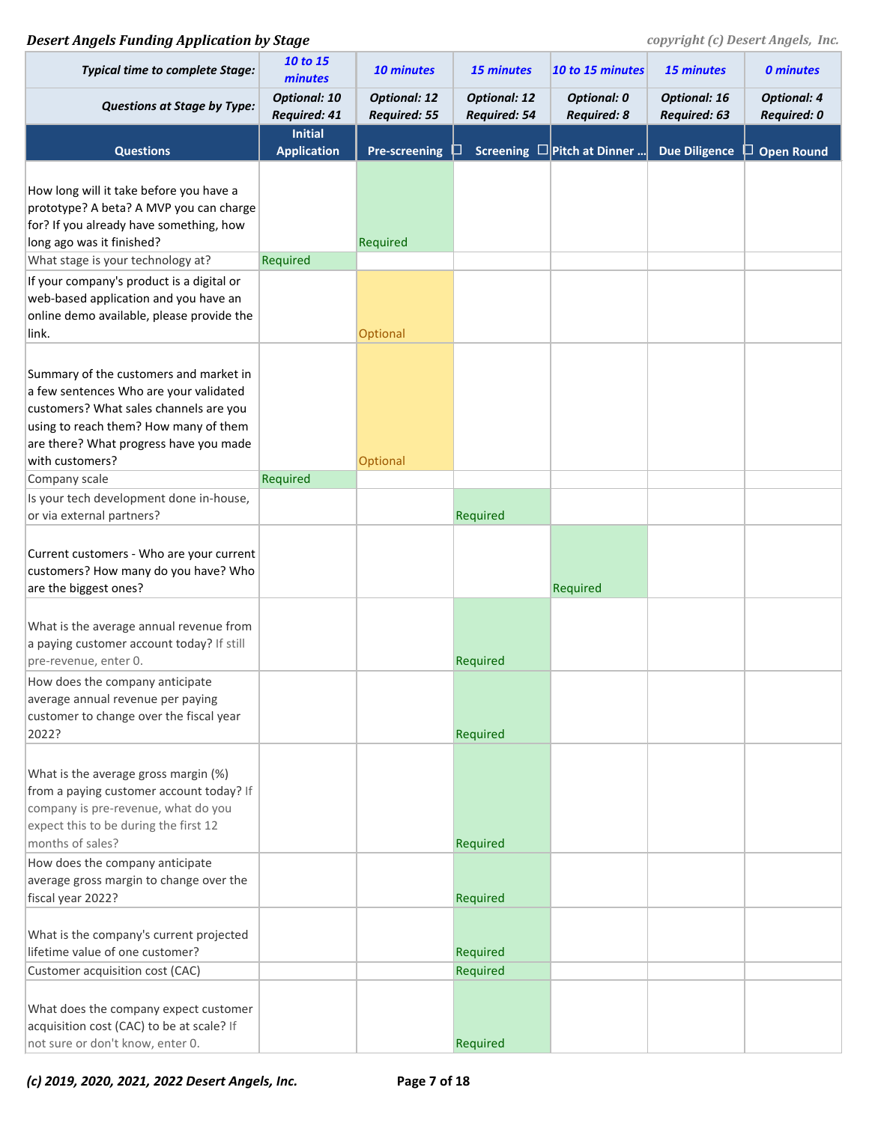| <b>Typical time to complete Stage:</b>                                                                                                                                                                                           | 10 to 15<br>minutes                        | 10 minutes                                 | <b>15 minutes</b>                          | 10 to 15 minutes                         | 15 minutes                          | <b>0 minutes</b>                  |
|----------------------------------------------------------------------------------------------------------------------------------------------------------------------------------------------------------------------------------|--------------------------------------------|--------------------------------------------|--------------------------------------------|------------------------------------------|-------------------------------------|-----------------------------------|
| <b>Questions at Stage by Type:</b>                                                                                                                                                                                               | <b>Optional: 10</b><br><b>Required: 41</b> | <b>Optional: 12</b><br><b>Required: 55</b> | <b>Optional: 12</b><br><b>Required: 54</b> | <b>Optional: 0</b><br><b>Required: 8</b> | <b>Optional: 16</b><br>Required: 63 | <b>Optional: 4</b><br>Required: 0 |
| <b>Questions</b>                                                                                                                                                                                                                 | <b>Initial</b><br><b>Application</b>       | <b>Pre-screening</b>                       |                                            | Screening $\square$ Pitch at Dinner      | <b>Due Diligence</b>                | <b>Open Round</b><br>ப            |
| How long will it take before you have a<br>prototype? A beta? A MVP you can charge<br>for? If you already have something, how<br>long ago was it finished?                                                                       |                                            | Required                                   |                                            |                                          |                                     |                                   |
| What stage is your technology at?                                                                                                                                                                                                | Required                                   |                                            |                                            |                                          |                                     |                                   |
| If your company's product is a digital or<br>web-based application and you have an<br>online demo available, please provide the<br>link.                                                                                         |                                            | Optional                                   |                                            |                                          |                                     |                                   |
| Summary of the customers and market in<br>a few sentences Who are your validated<br>customers? What sales channels are you<br>using to reach them? How many of them<br>are there? What progress have you made<br>with customers? |                                            | Optional                                   |                                            |                                          |                                     |                                   |
| Company scale                                                                                                                                                                                                                    | Required                                   |                                            |                                            |                                          |                                     |                                   |
| Is your tech development done in-house,<br>or via external partners?                                                                                                                                                             |                                            |                                            | Required                                   |                                          |                                     |                                   |
| Current customers - Who are your current<br>customers? How many do you have? Who<br>are the biggest ones?                                                                                                                        |                                            |                                            |                                            | Required                                 |                                     |                                   |
| What is the average annual revenue from<br>a paying customer account today? If still<br>pre-revenue, enter 0.                                                                                                                    |                                            |                                            | Required                                   |                                          |                                     |                                   |
| How does the company anticipate<br>average annual revenue per paying<br>customer to change over the fiscal year<br>2022?                                                                                                         |                                            |                                            | Required                                   |                                          |                                     |                                   |
| What is the average gross margin (%)<br>from a paying customer account today? If<br>company is pre-revenue, what do you<br>expect this to be during the first 12<br>months of sales?                                             |                                            |                                            | Required                                   |                                          |                                     |                                   |
| How does the company anticipate<br>average gross margin to change over the<br>fiscal year 2022?                                                                                                                                  |                                            |                                            | Required                                   |                                          |                                     |                                   |
| What is the company's current projected<br>lifetime value of one customer?                                                                                                                                                       |                                            |                                            | Required                                   |                                          |                                     |                                   |
| Customer acquisition cost (CAC)                                                                                                                                                                                                  |                                            |                                            | Required                                   |                                          |                                     |                                   |
| What does the company expect customer<br>acquisition cost (CAC) to be at scale? If<br>not sure or don't know, enter 0.                                                                                                           |                                            |                                            | Required                                   |                                          |                                     |                                   |

*(c) 2019, 2020, 2021, 2022 Desert Angels, Inc.* **Page 7 of 18**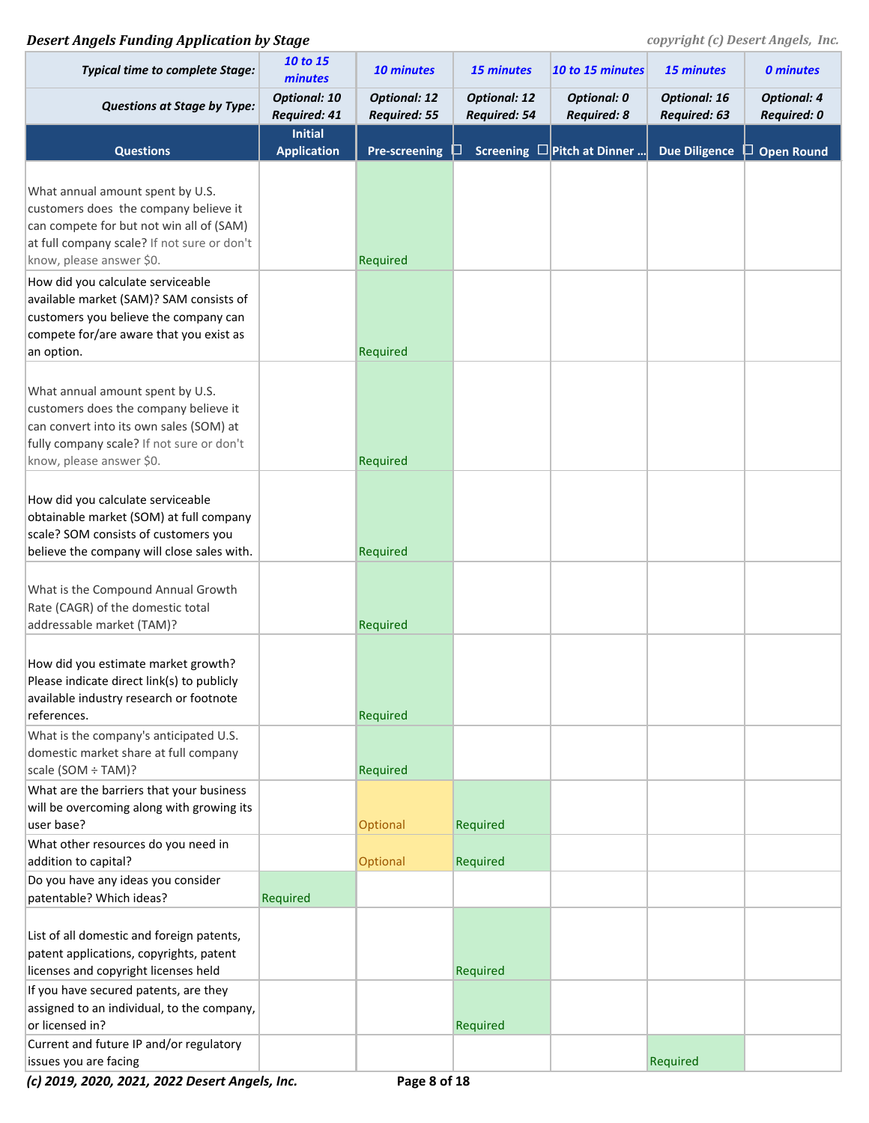| <b>Typical time to complete Stage:</b>                                                                                                                                                           | 10 to 15<br>minutes                  | 10 minutes                                 | 15 minutes                                 | 10 to 15 minutes                         | 15 minutes                          | <b>0 minutes</b>                         |
|--------------------------------------------------------------------------------------------------------------------------------------------------------------------------------------------------|--------------------------------------|--------------------------------------------|--------------------------------------------|------------------------------------------|-------------------------------------|------------------------------------------|
| <b>Questions at Stage by Type:</b>                                                                                                                                                               | <b>Optional: 10</b><br>Required: 41  | <b>Optional: 12</b><br><b>Required: 55</b> | <b>Optional: 12</b><br><b>Required: 54</b> | <b>Optional: 0</b><br><b>Required: 8</b> | <b>Optional: 16</b><br>Required: 63 | <b>Optional: 4</b><br><b>Required: 0</b> |
| <b>Questions</b>                                                                                                                                                                                 | <b>Initial</b><br><b>Application</b> | <b>Pre-screening</b>                       |                                            | Screening $\square$ Pitch at Dinner      | <b>Due Diligence</b>                | <b>Open Round</b><br>ப                   |
| What annual amount spent by U.S.<br>customers does the company believe it<br>can compete for but not win all of (SAM)<br>at full company scale? If not sure or don't<br>know, please answer \$0. |                                      | Required                                   |                                            |                                          |                                     |                                          |
| How did you calculate serviceable<br>available market (SAM)? SAM consists of<br>customers you believe the company can<br>compete for/are aware that you exist as<br>an option.                   |                                      | Required                                   |                                            |                                          |                                     |                                          |
| What annual amount spent by U.S.<br>customers does the company believe it<br>can convert into its own sales (SOM) at<br>fully company scale? If not sure or don't<br>know, please answer \$0.    |                                      | Required                                   |                                            |                                          |                                     |                                          |
| How did you calculate serviceable<br>obtainable market (SOM) at full company<br>scale? SOM consists of customers you<br>believe the company will close sales with.                               |                                      | Required                                   |                                            |                                          |                                     |                                          |
| What is the Compound Annual Growth<br>Rate (CAGR) of the domestic total<br>addressable market (TAM)?                                                                                             |                                      | Required                                   |                                            |                                          |                                     |                                          |
| How did you estimate market growth?<br>Please indicate direct link(s) to publicly<br>available industry research or footnote<br>references.                                                      |                                      | Required                                   |                                            |                                          |                                     |                                          |
| What is the company's anticipated U.S.<br>domestic market share at full company<br>scale (SOM ÷ TAM)?                                                                                            |                                      | Required                                   |                                            |                                          |                                     |                                          |
| What are the barriers that your business<br>will be overcoming along with growing its<br>user base?                                                                                              |                                      | Optional                                   | Required                                   |                                          |                                     |                                          |
| What other resources do you need in<br>addition to capital?                                                                                                                                      |                                      | Optional                                   | Required                                   |                                          |                                     |                                          |
| Do you have any ideas you consider<br>patentable? Which ideas?                                                                                                                                   | Required                             |                                            |                                            |                                          |                                     |                                          |
| List of all domestic and foreign patents,<br>patent applications, copyrights, patent<br>licenses and copyright licenses held                                                                     |                                      |                                            | Required                                   |                                          |                                     |                                          |
| If you have secured patents, are they<br>assigned to an individual, to the company,<br>or licensed in?                                                                                           |                                      |                                            | Required                                   |                                          |                                     |                                          |
| Current and future IP and/or regulatory<br>issues you are facing                                                                                                                                 |                                      |                                            |                                            |                                          | Required                            |                                          |

*(c) 2019, 2020, 2021, 2022 Desert Angels, Inc.* **Page 8 of 18**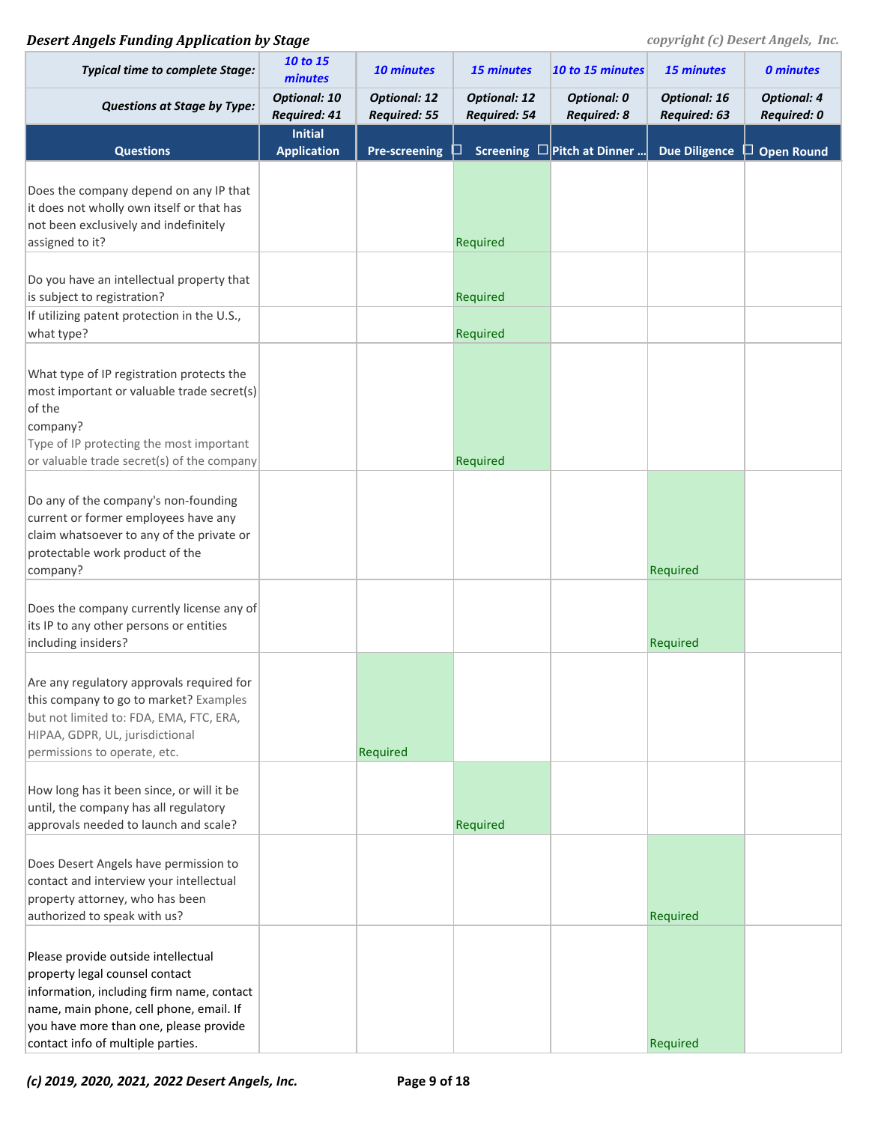| <b>Typical time to complete Stage:</b>                                                                                                                                                                                                       | 10 to 15<br>minutes                  | 10 minutes                                 | 15 minutes                          | 10 to 15 minutes                         | 15 minutes                          | <b>0 minutes</b>                         |
|----------------------------------------------------------------------------------------------------------------------------------------------------------------------------------------------------------------------------------------------|--------------------------------------|--------------------------------------------|-------------------------------------|------------------------------------------|-------------------------------------|------------------------------------------|
| <b>Questions at Stage by Type:</b>                                                                                                                                                                                                           | <b>Optional: 10</b><br>Required: 41  | <b>Optional: 12</b><br><b>Required: 55</b> | <b>Optional: 12</b><br>Required: 54 | <b>Optional: 0</b><br><b>Required: 8</b> | <b>Optional: 16</b><br>Required: 63 | <b>Optional: 4</b><br><b>Required: 0</b> |
| <b>Questions</b>                                                                                                                                                                                                                             | <b>Initial</b><br><b>Application</b> | <b>Pre-screening</b>                       |                                     | Screening $\square$ Pitch at Dinner      | <b>Due Diligence</b>                | $\Box$ Open Round                        |
| Does the company depend on any IP that<br>it does not wholly own itself or that has<br>not been exclusively and indefinitely<br>assigned to it?                                                                                              |                                      |                                            | Required                            |                                          |                                     |                                          |
| Do you have an intellectual property that<br>is subject to registration?                                                                                                                                                                     |                                      |                                            | Required                            |                                          |                                     |                                          |
| If utilizing patent protection in the U.S.,<br>what type?                                                                                                                                                                                    |                                      |                                            | Required                            |                                          |                                     |                                          |
| What type of IP registration protects the<br>most important or valuable trade secret(s)<br>of the<br>company?<br>Type of IP protecting the most important<br>or valuable trade secret(s) of the company                                      |                                      |                                            | Required                            |                                          |                                     |                                          |
| Do any of the company's non-founding<br>current or former employees have any<br>claim whatsoever to any of the private or<br>protectable work product of the<br>company?                                                                     |                                      |                                            |                                     |                                          | Required                            |                                          |
| Does the company currently license any of<br>its IP to any other persons or entities<br>including insiders?                                                                                                                                  |                                      |                                            |                                     |                                          | Required                            |                                          |
| Are any regulatory approvals required for<br>this company to go to market? Examples<br>but not limited to: FDA, EMA, FTC, ERA,<br>HIPAA, GDPR, UL, jurisdictional<br>permissions to operate, etc.                                            |                                      | Required                                   |                                     |                                          |                                     |                                          |
| How long has it been since, or will it be<br>until, the company has all regulatory<br>approvals needed to launch and scale?                                                                                                                  |                                      |                                            | Required                            |                                          |                                     |                                          |
| Does Desert Angels have permission to<br>contact and interview your intellectual<br>property attorney, who has been<br>authorized to speak with us?                                                                                          |                                      |                                            |                                     |                                          | Required                            |                                          |
| Please provide outside intellectual<br>property legal counsel contact<br>information, including firm name, contact<br>name, main phone, cell phone, email. If<br>you have more than one, please provide<br>contact info of multiple parties. |                                      |                                            |                                     |                                          | Required                            |                                          |

*(c) 2019, 2020, 2021, 2022 Desert Angels, Inc.* **Page 9 of 18**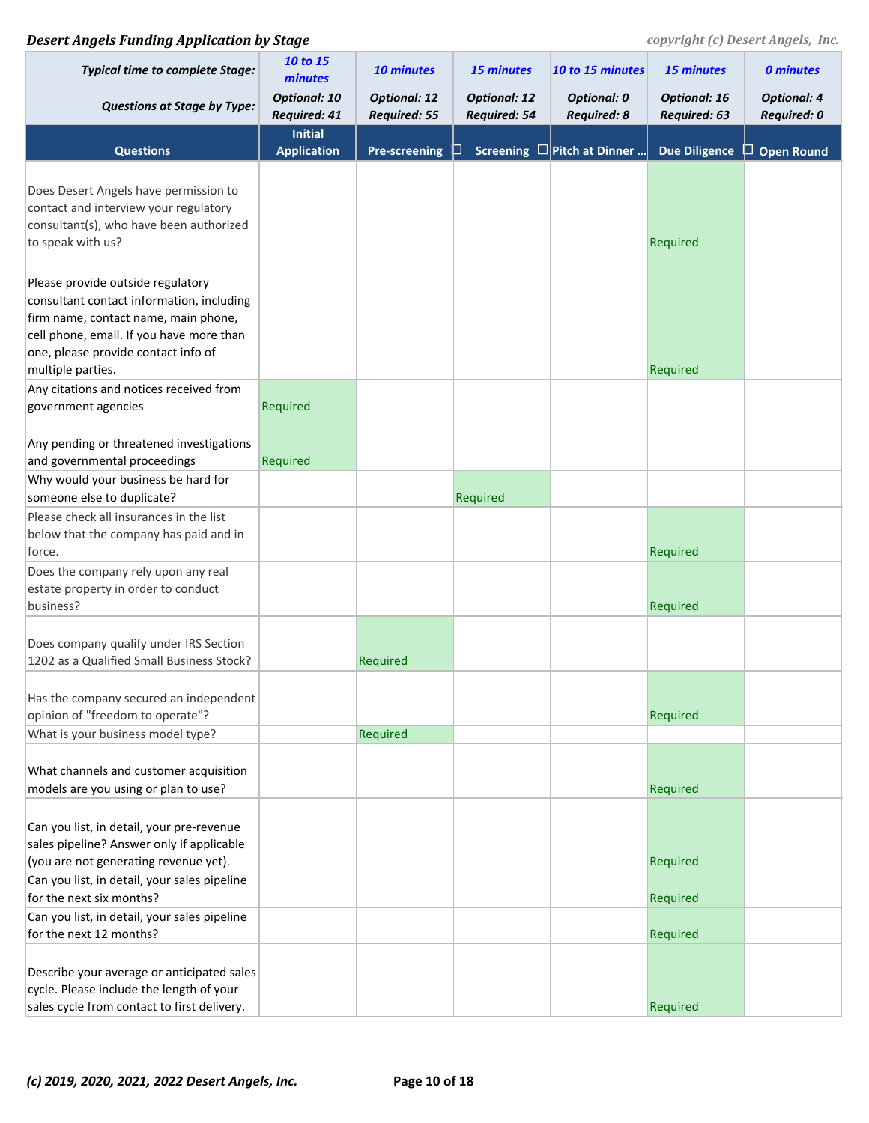| <b>Typical time to complete Stage:</b>                                                                                                                                                                                         | 10 to 15<br>minutes                        | 10 minutes                                 | 15 minutes                          | 10 to 15 minutes                         | 15 minutes                          | <b>0 minutes</b>                         |
|--------------------------------------------------------------------------------------------------------------------------------------------------------------------------------------------------------------------------------|--------------------------------------------|--------------------------------------------|-------------------------------------|------------------------------------------|-------------------------------------|------------------------------------------|
| <b>Questions at Stage by Type:</b>                                                                                                                                                                                             | <b>Optional: 10</b><br><b>Required: 41</b> | <b>Optional: 12</b><br><b>Required: 55</b> | <b>Optional: 12</b><br>Required: 54 | <b>Optional: 0</b><br><b>Required: 8</b> | <b>Optional: 16</b><br>Required: 63 | <b>Optional: 4</b><br><b>Required: 0</b> |
| <b>Questions</b>                                                                                                                                                                                                               | <b>Initial</b><br><b>Application</b>       | <b>Pre-screening</b>                       |                                     | Screening $\square$ Pitch at Dinner      | <b>Due Diligence</b>                | $\Box$ Open Round                        |
| Does Desert Angels have permission to<br>contact and interview your regulatory<br>consultant(s), who have been authorized<br>to speak with us?                                                                                 |                                            |                                            |                                     |                                          | Required                            |                                          |
| Please provide outside regulatory<br>consultant contact information, including<br>firm name, contact name, main phone,<br>cell phone, email. If you have more than<br>one, please provide contact info of<br>multiple parties. |                                            |                                            |                                     |                                          | Required                            |                                          |
| Any citations and notices received from<br>government agencies                                                                                                                                                                 | Required                                   |                                            |                                     |                                          |                                     |                                          |
| Any pending or threatened investigations<br>and governmental proceedings                                                                                                                                                       | Required                                   |                                            |                                     |                                          |                                     |                                          |
| Why would your business be hard for                                                                                                                                                                                            |                                            |                                            |                                     |                                          |                                     |                                          |
| someone else to duplicate?<br>Please check all insurances in the list<br>below that the company has paid and in<br>force.                                                                                                      |                                            |                                            | Required                            |                                          | Required                            |                                          |
| Does the company rely upon any real<br>estate property in order to conduct<br>business?                                                                                                                                        |                                            |                                            |                                     |                                          | Required                            |                                          |
| Does company qualify under IRS Section<br>1202 as a Qualified Small Business Stock?                                                                                                                                            |                                            | Required                                   |                                     |                                          |                                     |                                          |
| Has the company secured an independent<br>opinion of "freedom to operate"?                                                                                                                                                     |                                            |                                            |                                     |                                          | Required                            |                                          |
| What is your business model type?                                                                                                                                                                                              |                                            | Required                                   |                                     |                                          |                                     |                                          |
| What channels and customer acquisition<br>models are you using or plan to use?                                                                                                                                                 |                                            |                                            |                                     |                                          | Required                            |                                          |
| Can you list, in detail, your pre-revenue<br>sales pipeline? Answer only if applicable<br>(you are not generating revenue yet).                                                                                                |                                            |                                            |                                     |                                          | Required                            |                                          |
| Can you list, in detail, your sales pipeline<br>for the next six months?                                                                                                                                                       |                                            |                                            |                                     |                                          | Required                            |                                          |
| Can you list, in detail, your sales pipeline<br>for the next 12 months?                                                                                                                                                        |                                            |                                            |                                     |                                          | Required                            |                                          |
| Describe your average or anticipated sales<br>cycle. Please include the length of your<br>sales cycle from contact to first delivery.                                                                                          |                                            |                                            |                                     |                                          | Required                            |                                          |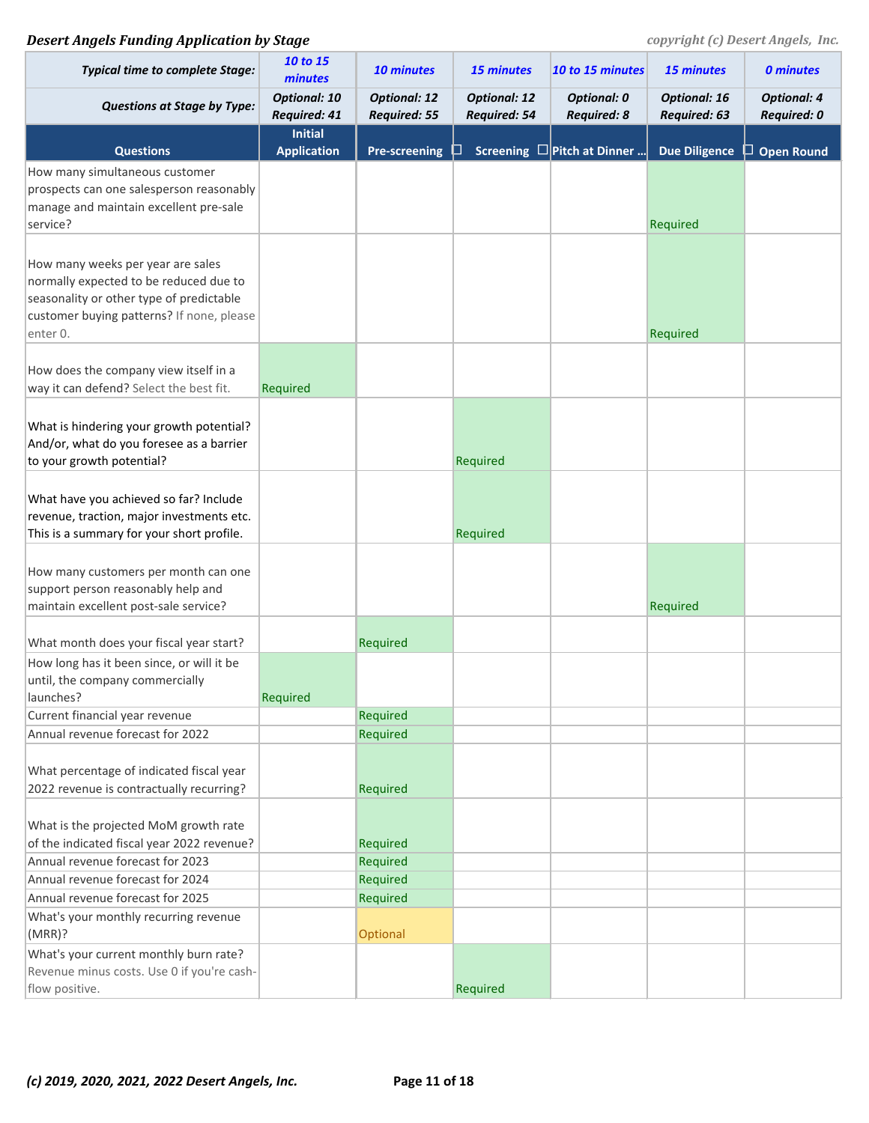| <b>Typical time to complete Stage:</b>                                               | 10 to 15<br>minutes                        | 10 minutes                                 | <b>15 minutes</b>                   | 10 to 15 minutes                         | <b>15 minutes</b>                   | <b>0 minutes</b>                         |
|--------------------------------------------------------------------------------------|--------------------------------------------|--------------------------------------------|-------------------------------------|------------------------------------------|-------------------------------------|------------------------------------------|
| <b>Questions at Stage by Type:</b>                                                   | <b>Optional: 10</b><br><b>Required: 41</b> | <b>Optional: 12</b><br><b>Required: 55</b> | <b>Optional: 12</b><br>Required: 54 | <b>Optional: 0</b><br><b>Required: 8</b> | <b>Optional: 16</b><br>Required: 63 | <b>Optional: 4</b><br><b>Required: 0</b> |
|                                                                                      | <b>Initial</b>                             |                                            |                                     |                                          |                                     |                                          |
| <b>Questions</b><br>How many simultaneous customer                                   | <b>Application</b>                         | <b>Pre-screening</b>                       |                                     | Screening $\square$ Pitch at Dinner      | <b>Due Diligence</b>                | $\Box$ Open Round                        |
| prospects can one salesperson reasonably                                             |                                            |                                            |                                     |                                          |                                     |                                          |
| manage and maintain excellent pre-sale                                               |                                            |                                            |                                     |                                          |                                     |                                          |
| service?                                                                             |                                            |                                            |                                     |                                          | Required                            |                                          |
|                                                                                      |                                            |                                            |                                     |                                          |                                     |                                          |
| How many weeks per year are sales                                                    |                                            |                                            |                                     |                                          |                                     |                                          |
| normally expected to be reduced due to<br>seasonality or other type of predictable   |                                            |                                            |                                     |                                          |                                     |                                          |
| customer buying patterns? If none, please                                            |                                            |                                            |                                     |                                          |                                     |                                          |
| enter 0.                                                                             |                                            |                                            |                                     |                                          | Required                            |                                          |
|                                                                                      |                                            |                                            |                                     |                                          |                                     |                                          |
| How does the company view itself in a                                                |                                            |                                            |                                     |                                          |                                     |                                          |
| way it can defend? Select the best fit.                                              | Required                                   |                                            |                                     |                                          |                                     |                                          |
|                                                                                      |                                            |                                            |                                     |                                          |                                     |                                          |
| What is hindering your growth potential?<br>And/or, what do you foresee as a barrier |                                            |                                            |                                     |                                          |                                     |                                          |
| to your growth potential?                                                            |                                            |                                            | Required                            |                                          |                                     |                                          |
|                                                                                      |                                            |                                            |                                     |                                          |                                     |                                          |
| What have you achieved so far? Include                                               |                                            |                                            |                                     |                                          |                                     |                                          |
| revenue, traction, major investments etc.                                            |                                            |                                            |                                     |                                          |                                     |                                          |
| This is a summary for your short profile.                                            |                                            |                                            | Required                            |                                          |                                     |                                          |
|                                                                                      |                                            |                                            |                                     |                                          |                                     |                                          |
| How many customers per month can one                                                 |                                            |                                            |                                     |                                          |                                     |                                          |
| support person reasonably help and                                                   |                                            |                                            |                                     |                                          |                                     |                                          |
| maintain excellent post-sale service?                                                |                                            |                                            |                                     |                                          | Required                            |                                          |
| What month does your fiscal year start?                                              |                                            | Required                                   |                                     |                                          |                                     |                                          |
| How long has it been since, or will it be                                            |                                            |                                            |                                     |                                          |                                     |                                          |
| until, the company commercially                                                      |                                            |                                            |                                     |                                          |                                     |                                          |
| launches?                                                                            | Required                                   |                                            |                                     |                                          |                                     |                                          |
| Current financial year revenue                                                       |                                            | Required                                   |                                     |                                          |                                     |                                          |
| Annual revenue forecast for 2022                                                     |                                            | Required                                   |                                     |                                          |                                     |                                          |
| What percentage of indicated fiscal year                                             |                                            |                                            |                                     |                                          |                                     |                                          |
| 2022 revenue is contractually recurring?                                             |                                            | Required                                   |                                     |                                          |                                     |                                          |
|                                                                                      |                                            |                                            |                                     |                                          |                                     |                                          |
| What is the projected MoM growth rate                                                |                                            |                                            |                                     |                                          |                                     |                                          |
| of the indicated fiscal year 2022 revenue?                                           |                                            | Required                                   |                                     |                                          |                                     |                                          |
| Annual revenue forecast for 2023                                                     |                                            | Required                                   |                                     |                                          |                                     |                                          |
| Annual revenue forecast for 2024                                                     |                                            | Required                                   |                                     |                                          |                                     |                                          |
| Annual revenue forecast for 2025                                                     |                                            | Required                                   |                                     |                                          |                                     |                                          |
| What's your monthly recurring revenue                                                |                                            |                                            |                                     |                                          |                                     |                                          |
| (MRR)?                                                                               |                                            | Optional                                   |                                     |                                          |                                     |                                          |
| What's your current monthly burn rate?<br>Revenue minus costs. Use 0 if you're cash- |                                            |                                            |                                     |                                          |                                     |                                          |
| flow positive.                                                                       |                                            |                                            | Required                            |                                          |                                     |                                          |
|                                                                                      |                                            |                                            |                                     |                                          |                                     |                                          |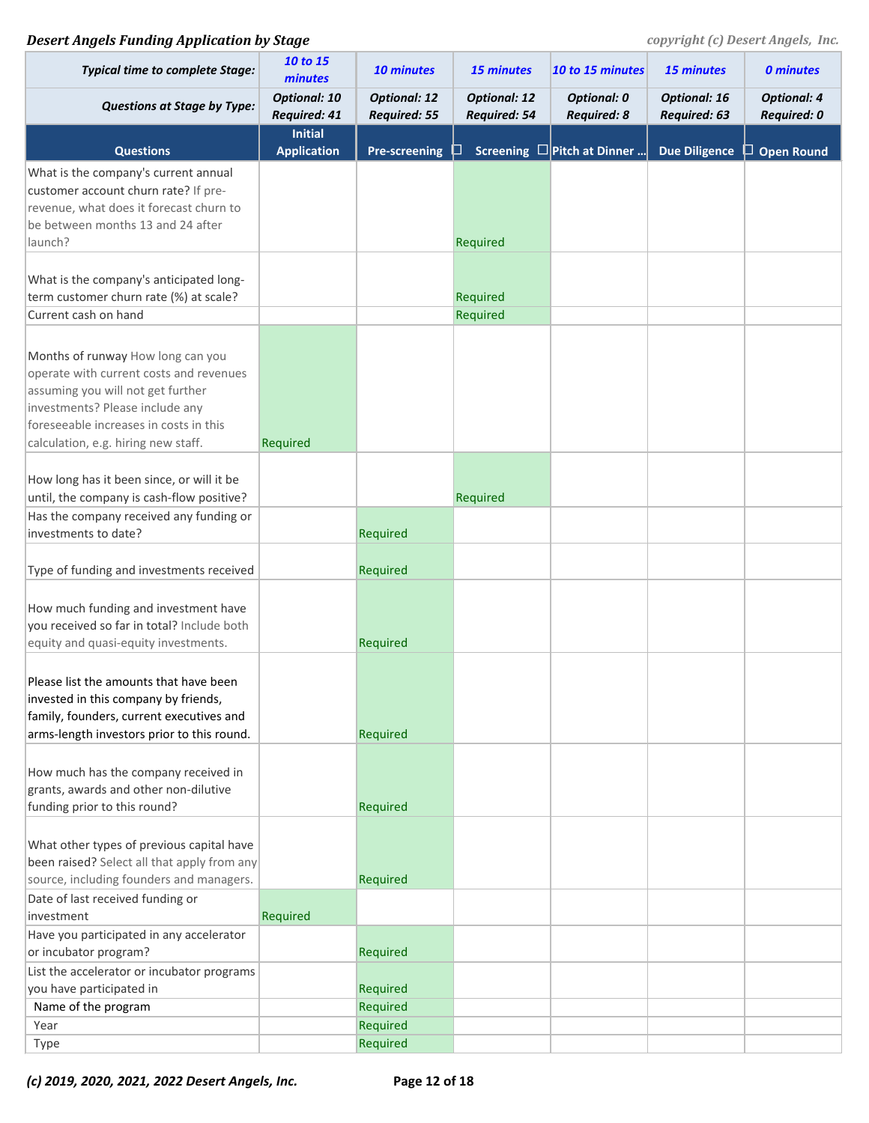| <b>Typical time to complete Stage:</b>      | 10 to 15<br>minutes                        | 10 minutes                                 | <b>15 minutes</b>                          | 10 to 15 minutes                         | 15 minutes                          | <b>0 minutes</b>                  |
|---------------------------------------------|--------------------------------------------|--------------------------------------------|--------------------------------------------|------------------------------------------|-------------------------------------|-----------------------------------|
| <b>Questions at Stage by Type:</b>          | <b>Optional: 10</b><br><b>Required: 41</b> | <b>Optional: 12</b><br><b>Required: 55</b> | <b>Optional: 12</b><br><b>Required: 54</b> | <b>Optional: 0</b><br><b>Required: 8</b> | <b>Optional: 16</b><br>Required: 63 | <b>Optional: 4</b><br>Required: 0 |
| <b>Questions</b>                            | <b>Initial</b><br><b>Application</b>       | <b>Pre-screening</b>                       |                                            | Screening $\square$ Pitch at Dinner      | <b>Due Diligence</b>                | <b>Open Round</b><br>ப            |
| What is the company's current annual        |                                            |                                            |                                            |                                          |                                     |                                   |
| customer account churn rate? If pre-        |                                            |                                            |                                            |                                          |                                     |                                   |
| revenue, what does it forecast churn to     |                                            |                                            |                                            |                                          |                                     |                                   |
| be between months 13 and 24 after           |                                            |                                            |                                            |                                          |                                     |                                   |
| launch?                                     |                                            |                                            | Required                                   |                                          |                                     |                                   |
|                                             |                                            |                                            |                                            |                                          |                                     |                                   |
| What is the company's anticipated long-     |                                            |                                            |                                            |                                          |                                     |                                   |
| term customer churn rate (%) at scale?      |                                            |                                            | Required                                   |                                          |                                     |                                   |
| Current cash on hand                        |                                            |                                            | Required                                   |                                          |                                     |                                   |
|                                             |                                            |                                            |                                            |                                          |                                     |                                   |
| Months of runway How long can you           |                                            |                                            |                                            |                                          |                                     |                                   |
| operate with current costs and revenues     |                                            |                                            |                                            |                                          |                                     |                                   |
| assuming you will not get further           |                                            |                                            |                                            |                                          |                                     |                                   |
| investments? Please include any             |                                            |                                            |                                            |                                          |                                     |                                   |
| foreseeable increases in costs in this      |                                            |                                            |                                            |                                          |                                     |                                   |
| calculation, e.g. hiring new staff.         | Required                                   |                                            |                                            |                                          |                                     |                                   |
|                                             |                                            |                                            |                                            |                                          |                                     |                                   |
| How long has it been since, or will it be   |                                            |                                            |                                            |                                          |                                     |                                   |
| until, the company is cash-flow positive?   |                                            |                                            | Required                                   |                                          |                                     |                                   |
| Has the company received any funding or     |                                            |                                            |                                            |                                          |                                     |                                   |
| investments to date?                        |                                            | Required                                   |                                            |                                          |                                     |                                   |
| Type of funding and investments received    |                                            | Required                                   |                                            |                                          |                                     |                                   |
|                                             |                                            |                                            |                                            |                                          |                                     |                                   |
| How much funding and investment have        |                                            |                                            |                                            |                                          |                                     |                                   |
| you received so far in total? Include both  |                                            |                                            |                                            |                                          |                                     |                                   |
| equity and quasi-equity investments.        |                                            | Required                                   |                                            |                                          |                                     |                                   |
|                                             |                                            |                                            |                                            |                                          |                                     |                                   |
| Please list the amounts that have been      |                                            |                                            |                                            |                                          |                                     |                                   |
| invested in this company by friends,        |                                            |                                            |                                            |                                          |                                     |                                   |
| family, founders, current executives and    |                                            |                                            |                                            |                                          |                                     |                                   |
| arms-length investors prior to this round.  |                                            | Required                                   |                                            |                                          |                                     |                                   |
|                                             |                                            |                                            |                                            |                                          |                                     |                                   |
| How much has the company received in        |                                            |                                            |                                            |                                          |                                     |                                   |
| grants, awards and other non-dilutive       |                                            |                                            |                                            |                                          |                                     |                                   |
| funding prior to this round?                |                                            | Required                                   |                                            |                                          |                                     |                                   |
|                                             |                                            |                                            |                                            |                                          |                                     |                                   |
| What other types of previous capital have   |                                            |                                            |                                            |                                          |                                     |                                   |
| been raised? Select all that apply from any |                                            |                                            |                                            |                                          |                                     |                                   |
| source, including founders and managers.    |                                            | Required                                   |                                            |                                          |                                     |                                   |
| Date of last received funding or            |                                            |                                            |                                            |                                          |                                     |                                   |
| investment                                  | Required                                   |                                            |                                            |                                          |                                     |                                   |
| Have you participated in any accelerator    |                                            |                                            |                                            |                                          |                                     |                                   |
| or incubator program?                       |                                            | Required                                   |                                            |                                          |                                     |                                   |
| List the accelerator or incubator programs  |                                            |                                            |                                            |                                          |                                     |                                   |
| you have participated in                    |                                            | Required                                   |                                            |                                          |                                     |                                   |
| Name of the program                         |                                            | Required                                   |                                            |                                          |                                     |                                   |
| Year                                        |                                            | Required                                   |                                            |                                          |                                     |                                   |
| Type                                        |                                            | Required                                   |                                            |                                          |                                     |                                   |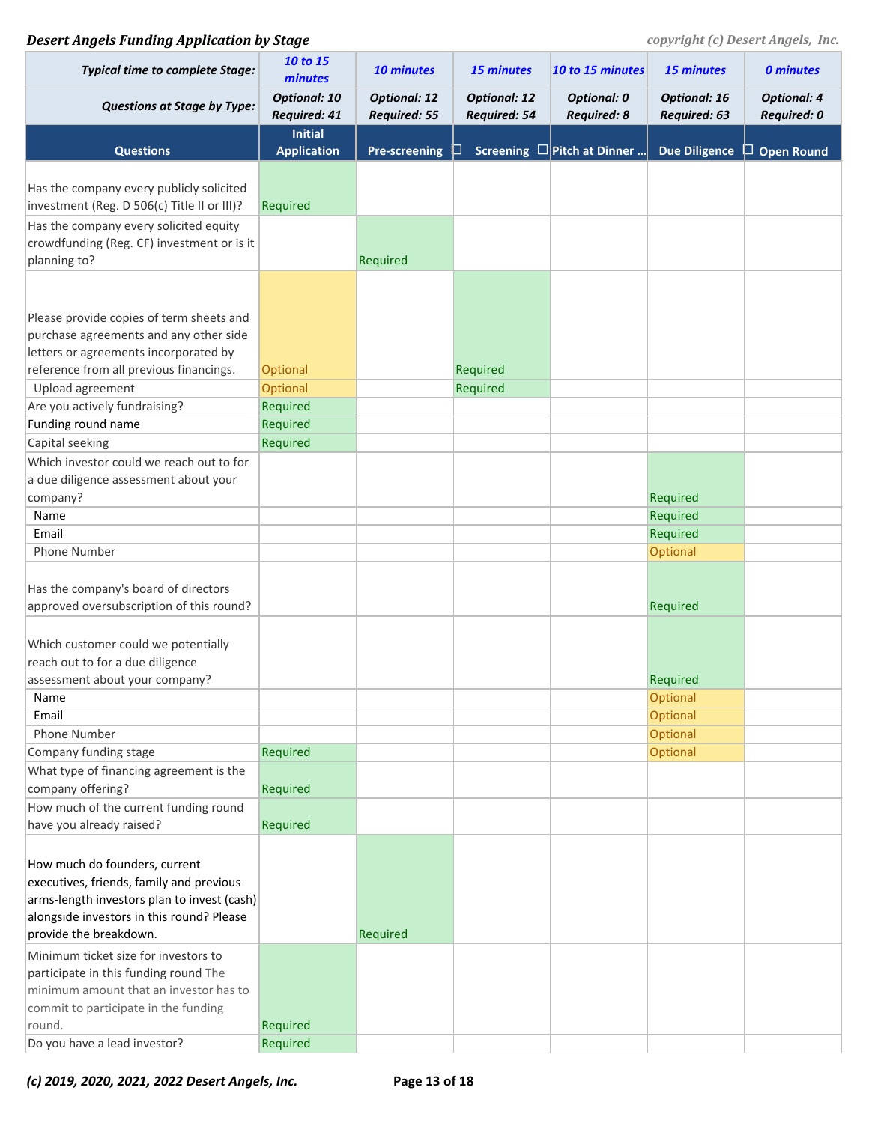## **Desert Angels Funding Application by Stage** *COPYPERSER <b>PERSON copyright (c) Desert Angels, Inc.*

| <b>Typical time to complete Stage:</b>      | 10 to 15<br>minutes                        | 10 minutes                                 | 15 minutes                          | 10 to 15 minutes                         | 15 minutes                          | <b>0 minutes</b>                  |
|---------------------------------------------|--------------------------------------------|--------------------------------------------|-------------------------------------|------------------------------------------|-------------------------------------|-----------------------------------|
| <b>Questions at Stage by Type:</b>          | <b>Optional: 10</b><br><b>Required: 41</b> | <b>Optional: 12</b><br><b>Required: 55</b> | <b>Optional: 12</b><br>Required: 54 | <b>Optional: 0</b><br><b>Required: 8</b> | <b>Optional: 16</b><br>Required: 63 | <b>Optional: 4</b><br>Required: 0 |
| <b>Questions</b>                            | <b>Initial</b><br><b>Application</b>       | <b>Pre-screening</b>                       |                                     | Screening $\square$ Pitch at Dinner      | <b>Due Diligence</b>                | $\Box$ Open Round                 |
|                                             |                                            |                                            |                                     |                                          |                                     |                                   |
| Has the company every publicly solicited    |                                            |                                            |                                     |                                          |                                     |                                   |
| investment (Reg. D 506(c) Title II or III)? | Required                                   |                                            |                                     |                                          |                                     |                                   |
|                                             |                                            |                                            |                                     |                                          |                                     |                                   |
| Has the company every solicited equity      |                                            |                                            |                                     |                                          |                                     |                                   |
| crowdfunding (Reg. CF) investment or is it  |                                            |                                            |                                     |                                          |                                     |                                   |
| planning to?                                |                                            | Required                                   |                                     |                                          |                                     |                                   |
|                                             |                                            |                                            |                                     |                                          |                                     |                                   |
|                                             |                                            |                                            |                                     |                                          |                                     |                                   |
| Please provide copies of term sheets and    |                                            |                                            |                                     |                                          |                                     |                                   |
| purchase agreements and any other side      |                                            |                                            |                                     |                                          |                                     |                                   |
| letters or agreements incorporated by       |                                            |                                            |                                     |                                          |                                     |                                   |
| reference from all previous financings.     | Optional                                   |                                            | Required                            |                                          |                                     |                                   |
| Upload agreement                            | Optional                                   |                                            | Required                            |                                          |                                     |                                   |
| Are you actively fundraising?               | Required                                   |                                            |                                     |                                          |                                     |                                   |
| Funding round name                          | Required                                   |                                            |                                     |                                          |                                     |                                   |
| Capital seeking                             | Required                                   |                                            |                                     |                                          |                                     |                                   |
| Which investor could we reach out to for    |                                            |                                            |                                     |                                          |                                     |                                   |
| a due diligence assessment about your       |                                            |                                            |                                     |                                          |                                     |                                   |
| company?                                    |                                            |                                            |                                     |                                          | Required                            |                                   |
| Name                                        |                                            |                                            |                                     |                                          | Required                            |                                   |
| Email                                       |                                            |                                            |                                     |                                          | Required                            |                                   |
| Phone Number                                |                                            |                                            |                                     |                                          | Optional                            |                                   |
|                                             |                                            |                                            |                                     |                                          |                                     |                                   |
| Has the company's board of directors        |                                            |                                            |                                     |                                          |                                     |                                   |
| approved oversubscription of this round?    |                                            |                                            |                                     |                                          | Required                            |                                   |
|                                             |                                            |                                            |                                     |                                          |                                     |                                   |
| Which customer could we potentially         |                                            |                                            |                                     |                                          |                                     |                                   |
| reach out to for a due diligence            |                                            |                                            |                                     |                                          |                                     |                                   |
| assessment about your company?              |                                            |                                            |                                     |                                          | Required                            |                                   |
| Name                                        |                                            |                                            |                                     |                                          | Optional                            |                                   |
| Email                                       |                                            |                                            |                                     |                                          | Optional                            |                                   |
| Phone Number                                |                                            |                                            |                                     |                                          | Optional                            |                                   |
| Company funding stage                       | Required                                   |                                            |                                     |                                          | Optional                            |                                   |
| What type of financing agreement is the     |                                            |                                            |                                     |                                          |                                     |                                   |
| company offering?                           | Required                                   |                                            |                                     |                                          |                                     |                                   |
|                                             |                                            |                                            |                                     |                                          |                                     |                                   |
| How much of the current funding round       |                                            |                                            |                                     |                                          |                                     |                                   |
| have you already raised?                    | Required                                   |                                            |                                     |                                          |                                     |                                   |
|                                             |                                            |                                            |                                     |                                          |                                     |                                   |
| How much do founders, current               |                                            |                                            |                                     |                                          |                                     |                                   |
| executives, friends, family and previous    |                                            |                                            |                                     |                                          |                                     |                                   |
| arms-length investors plan to invest (cash) |                                            |                                            |                                     |                                          |                                     |                                   |
| alongside investors in this round? Please   |                                            |                                            |                                     |                                          |                                     |                                   |
| provide the breakdown.                      |                                            | Required                                   |                                     |                                          |                                     |                                   |
| Minimum ticket size for investors to        |                                            |                                            |                                     |                                          |                                     |                                   |
| participate in this funding round The       |                                            |                                            |                                     |                                          |                                     |                                   |
| minimum amount that an investor has to      |                                            |                                            |                                     |                                          |                                     |                                   |
| commit to participate in the funding        |                                            |                                            |                                     |                                          |                                     |                                   |
| round.                                      | Required                                   |                                            |                                     |                                          |                                     |                                   |
| Do you have a lead investor?                | Required                                   |                                            |                                     |                                          |                                     |                                   |

*(c) 2019, 2020, 2021, 2022 Desert Angels, Inc.* **Page 13 of 18**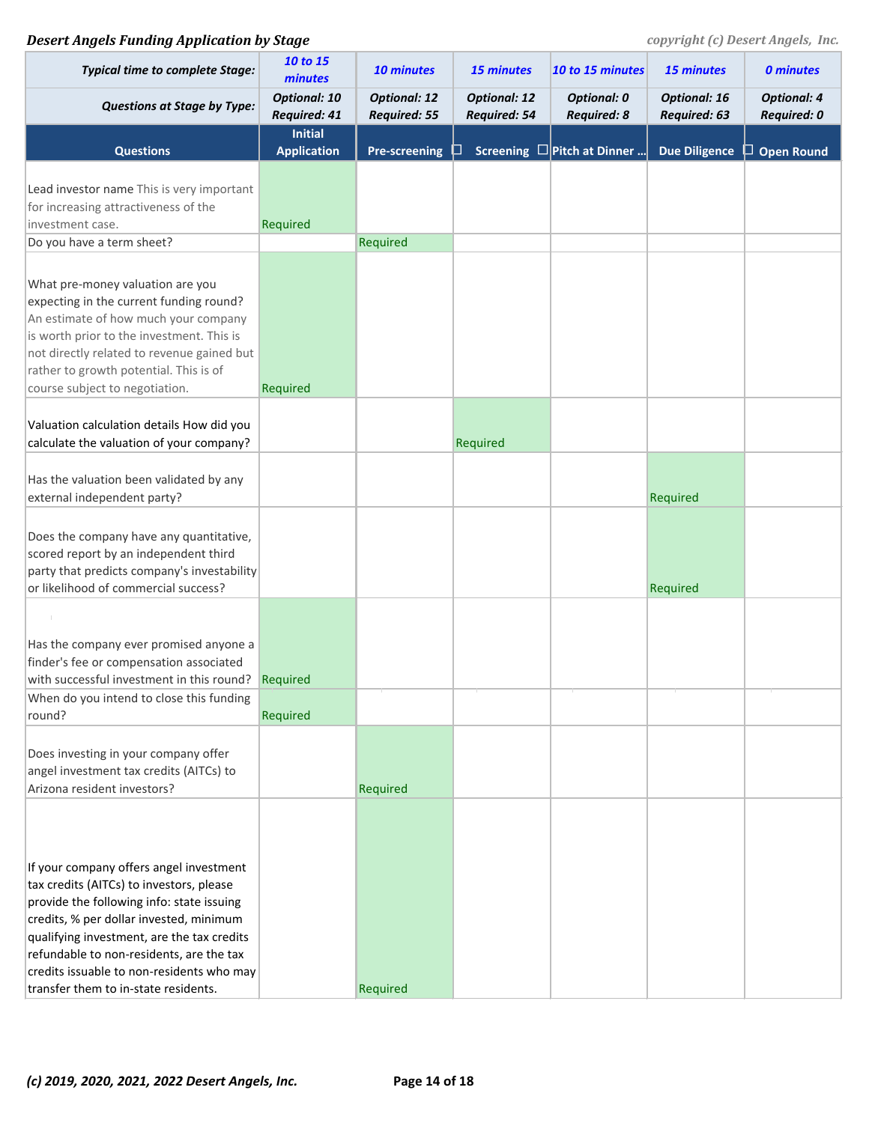| <b>Typical time to complete Stage:</b>                                                                                                                                                                                                                                                                                                                     | 10 to 15<br>minutes                  | 10 minutes                                 | <b>15 minutes</b>                   | 10 to 15 minutes                         | 15 minutes                          | <b>0 minutes</b>                  |
|------------------------------------------------------------------------------------------------------------------------------------------------------------------------------------------------------------------------------------------------------------------------------------------------------------------------------------------------------------|--------------------------------------|--------------------------------------------|-------------------------------------|------------------------------------------|-------------------------------------|-----------------------------------|
| <b>Questions at Stage by Type:</b>                                                                                                                                                                                                                                                                                                                         | <b>Optional: 10</b><br>Required: 41  | <b>Optional: 12</b><br><b>Required: 55</b> | <b>Optional: 12</b><br>Required: 54 | <b>Optional: 0</b><br><b>Required: 8</b> | <b>Optional: 16</b><br>Required: 63 | <b>Optional: 4</b><br>Required: 0 |
| <b>Questions</b>                                                                                                                                                                                                                                                                                                                                           | <b>Initial</b><br><b>Application</b> | <b>Pre-screening</b>                       | ப                                   | Screening $\square$ Pitch at Dinner      | <b>Due Diligence</b>                | <b>Open Round</b>                 |
| Lead investor name This is very important<br>for increasing attractiveness of the<br>investment case.<br>Do you have a term sheet?                                                                                                                                                                                                                         | Required                             | Required                                   |                                     |                                          |                                     |                                   |
| What pre-money valuation are you<br>expecting in the current funding round?<br>An estimate of how much your company<br>is worth prior to the investment. This is<br>not directly related to revenue gained but<br>rather to growth potential. This is of<br>course subject to negotiation.                                                                 | Required                             |                                            |                                     |                                          |                                     |                                   |
| Valuation calculation details How did you<br>calculate the valuation of your company?                                                                                                                                                                                                                                                                      |                                      |                                            | Required                            |                                          |                                     |                                   |
| Has the valuation been validated by any<br>external independent party?                                                                                                                                                                                                                                                                                     |                                      |                                            |                                     |                                          | Required                            |                                   |
| Does the company have any quantitative,<br>scored report by an independent third<br>party that predicts company's investability<br>or likelihood of commercial success?                                                                                                                                                                                    |                                      |                                            |                                     |                                          | Required                            |                                   |
| Has the company ever promised anyone a<br>finder's fee or compensation associated<br>with successful investment in this round?<br>When do you intend to close this funding<br>round?                                                                                                                                                                       | Required<br>Required                 |                                            |                                     |                                          |                                     |                                   |
| Does investing in your company offer<br>angel investment tax credits (AITCs) to<br>Arizona resident investors?                                                                                                                                                                                                                                             |                                      | Required                                   |                                     |                                          |                                     |                                   |
| If your company offers angel investment<br>tax credits (AITCs) to investors, please<br>provide the following info: state issuing<br>credits, % per dollar invested, minimum<br>qualifying investment, are the tax credits<br>refundable to non-residents, are the tax<br>credits issuable to non-residents who may<br>transfer them to in-state residents. |                                      | Required                                   |                                     |                                          |                                     |                                   |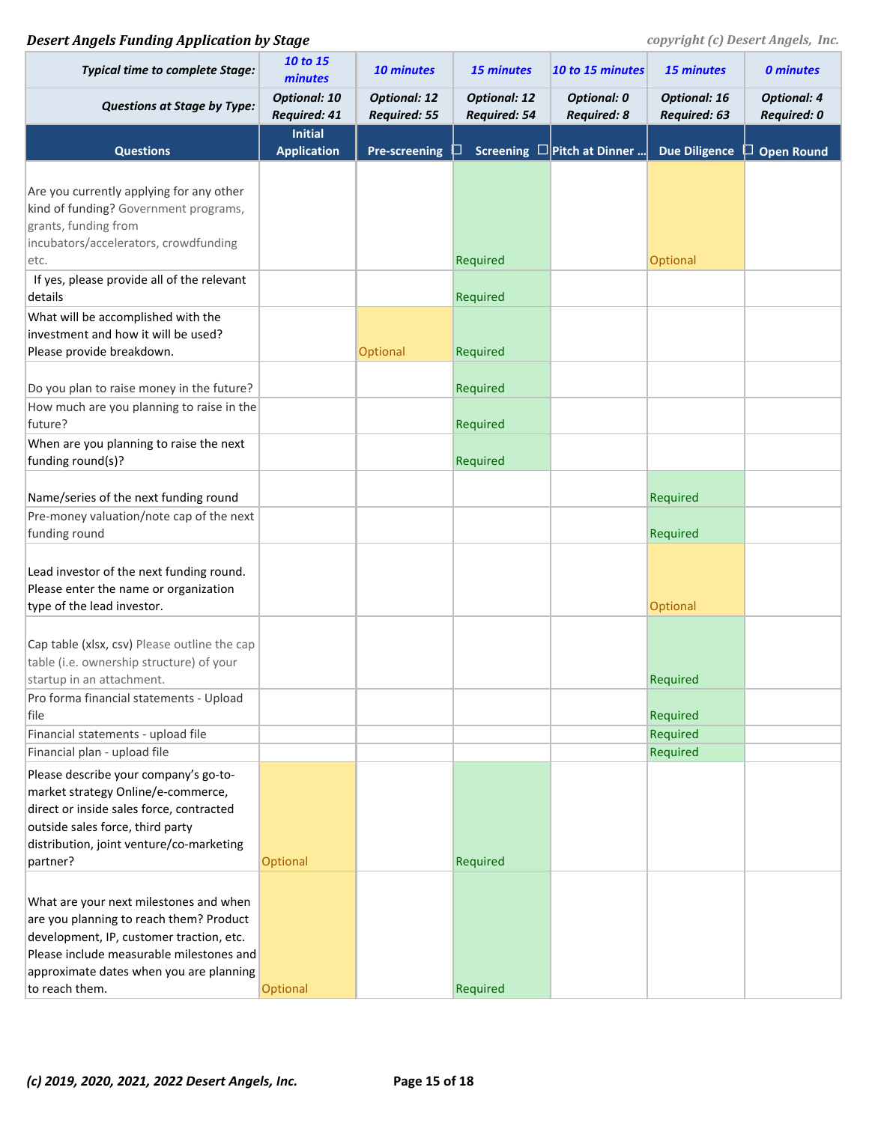| <b>Typical time to complete Stage:</b>                                                                                                                                                                               | 10 to 15<br>minutes                        | 10 minutes                                 | <b>15 minutes</b>                   | 10 to 15 minutes                         | <b>15 minutes</b>                   | <b>0 minutes</b>                         |
|----------------------------------------------------------------------------------------------------------------------------------------------------------------------------------------------------------------------|--------------------------------------------|--------------------------------------------|-------------------------------------|------------------------------------------|-------------------------------------|------------------------------------------|
| <b>Questions at Stage by Type:</b>                                                                                                                                                                                   | <b>Optional: 10</b><br><b>Required: 41</b> | <b>Optional: 12</b><br><b>Required: 55</b> | <b>Optional: 12</b><br>Required: 54 | <b>Optional: 0</b><br><b>Required: 8</b> | <b>Optional: 16</b><br>Required: 63 | <b>Optional: 4</b><br><b>Required: 0</b> |
|                                                                                                                                                                                                                      | <b>Initial</b>                             |                                            |                                     |                                          |                                     |                                          |
| <b>Questions</b>                                                                                                                                                                                                     | <b>Application</b>                         | <b>Pre-screening</b>                       |                                     | Screening $\square$ Pitch at Dinner      | <b>Due Diligence</b>                | $\Box$ Open Round                        |
| Are you currently applying for any other<br>kind of funding? Government programs,<br>grants, funding from<br>incubators/accelerators, crowdfunding                                                                   |                                            |                                            |                                     |                                          |                                     |                                          |
| etc.                                                                                                                                                                                                                 |                                            |                                            | Required                            |                                          | Optional                            |                                          |
| If yes, please provide all of the relevant                                                                                                                                                                           |                                            |                                            |                                     |                                          |                                     |                                          |
| details                                                                                                                                                                                                              |                                            |                                            | Required                            |                                          |                                     |                                          |
| What will be accomplished with the<br>investment and how it will be used?<br>Please provide breakdown.                                                                                                               |                                            | Optional                                   | Required                            |                                          |                                     |                                          |
|                                                                                                                                                                                                                      |                                            |                                            |                                     |                                          |                                     |                                          |
| Do you plan to raise money in the future?                                                                                                                                                                            |                                            |                                            | Required                            |                                          |                                     |                                          |
| How much are you planning to raise in the<br>future?                                                                                                                                                                 |                                            |                                            | Required                            |                                          |                                     |                                          |
| When are you planning to raise the next                                                                                                                                                                              |                                            |                                            |                                     |                                          |                                     |                                          |
| funding round(s)?                                                                                                                                                                                                    |                                            |                                            | Required                            |                                          |                                     |                                          |
|                                                                                                                                                                                                                      |                                            |                                            |                                     |                                          |                                     |                                          |
| Name/series of the next funding round                                                                                                                                                                                |                                            |                                            |                                     |                                          | Required                            |                                          |
| Pre-money valuation/note cap of the next                                                                                                                                                                             |                                            |                                            |                                     |                                          |                                     |                                          |
| funding round                                                                                                                                                                                                        |                                            |                                            |                                     |                                          | Required                            |                                          |
| Lead investor of the next funding round.<br>Please enter the name or organization<br>type of the lead investor.                                                                                                      |                                            |                                            |                                     |                                          | Optional                            |                                          |
|                                                                                                                                                                                                                      |                                            |                                            |                                     |                                          |                                     |                                          |
| Cap table (xlsx, csv) Please outline the cap<br>table (i.e. ownership structure) of your                                                                                                                             |                                            |                                            |                                     |                                          |                                     |                                          |
| startup in an attachment.                                                                                                                                                                                            |                                            |                                            |                                     |                                          | Required                            |                                          |
| Pro forma financial statements - Upload<br>file                                                                                                                                                                      |                                            |                                            |                                     |                                          | Required                            |                                          |
| Financial statements - upload file                                                                                                                                                                                   |                                            |                                            |                                     |                                          | Required                            |                                          |
| Financial plan - upload file                                                                                                                                                                                         |                                            |                                            |                                     |                                          | Required                            |                                          |
| Please describe your company's go-to-<br>market strategy Online/e-commerce,<br>direct or inside sales force, contracted<br>outside sales force, third party<br>distribution, joint venture/co-marketing              |                                            |                                            |                                     |                                          |                                     |                                          |
| partner?                                                                                                                                                                                                             | Optional                                   |                                            | Required                            |                                          |                                     |                                          |
| What are your next milestones and when<br>are you planning to reach them? Product<br>development, IP, customer traction, etc.<br>Please include measurable milestones and<br>approximate dates when you are planning |                                            |                                            |                                     |                                          |                                     |                                          |
| to reach them.                                                                                                                                                                                                       | Optional                                   |                                            | Required                            |                                          |                                     |                                          |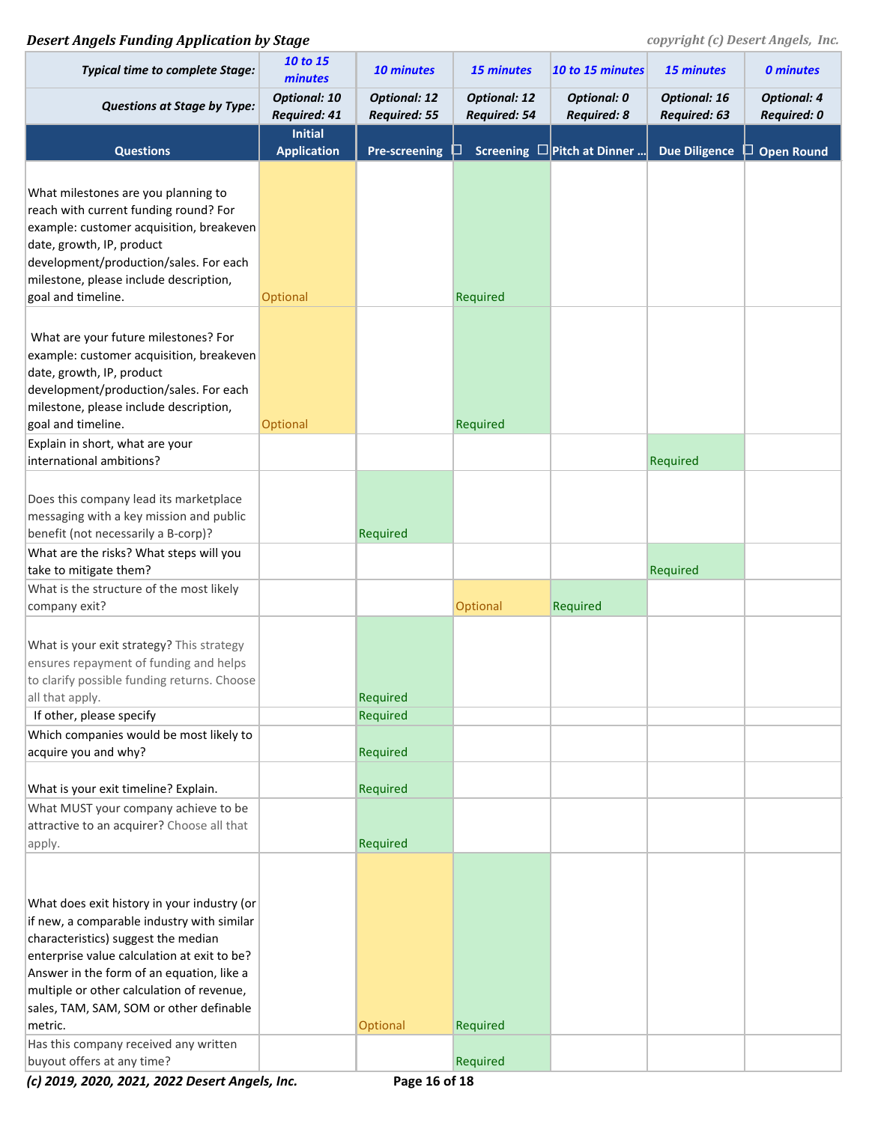| <b>Typical time to complete Stage:</b>                                                 | 10 to 15<br>minutes                  | 10 minutes                                 | 15 minutes                          | 10 to 15 minutes                         | 15 minutes                          | <b>0 minutes</b>                  |
|----------------------------------------------------------------------------------------|--------------------------------------|--------------------------------------------|-------------------------------------|------------------------------------------|-------------------------------------|-----------------------------------|
| <b>Questions at Stage by Type:</b>                                                     | <b>Optional: 10</b><br>Required: 41  | <b>Optional: 12</b><br><b>Required: 55</b> | <b>Optional: 12</b><br>Required: 54 | <b>Optional: 0</b><br><b>Required: 8</b> | <b>Optional: 16</b><br>Required: 63 | <b>Optional: 4</b><br>Required: 0 |
| <b>Questions</b>                                                                       | <b>Initial</b><br><b>Application</b> | <b>Pre-screening</b>                       | ப                                   | Screening $\square$ Pitch at Dinner      | <b>Due Diligence</b>                | $\Box$ Open Round                 |
| What milestones are you planning to                                                    |                                      |                                            |                                     |                                          |                                     |                                   |
| reach with current funding round? For                                                  |                                      |                                            |                                     |                                          |                                     |                                   |
| example: customer acquisition, breakeven                                               |                                      |                                            |                                     |                                          |                                     |                                   |
| date, growth, IP, product<br>development/production/sales. For each                    |                                      |                                            |                                     |                                          |                                     |                                   |
| milestone, please include description,                                                 |                                      |                                            |                                     |                                          |                                     |                                   |
| goal and timeline.                                                                     | Optional                             |                                            | Required                            |                                          |                                     |                                   |
|                                                                                        |                                      |                                            |                                     |                                          |                                     |                                   |
| What are your future milestones? For                                                   |                                      |                                            |                                     |                                          |                                     |                                   |
| example: customer acquisition, breakeven                                               |                                      |                                            |                                     |                                          |                                     |                                   |
| date, growth, IP, product                                                              |                                      |                                            |                                     |                                          |                                     |                                   |
| development/production/sales. For each                                                 |                                      |                                            |                                     |                                          |                                     |                                   |
| milestone, please include description,                                                 |                                      |                                            |                                     |                                          |                                     |                                   |
| goal and timeline.                                                                     | Optional                             |                                            | Required                            |                                          |                                     |                                   |
| Explain in short, what are your                                                        |                                      |                                            |                                     |                                          |                                     |                                   |
| international ambitions?                                                               |                                      |                                            |                                     |                                          | Required                            |                                   |
|                                                                                        |                                      |                                            |                                     |                                          |                                     |                                   |
| Does this company lead its marketplace                                                 |                                      |                                            |                                     |                                          |                                     |                                   |
| messaging with a key mission and public                                                |                                      |                                            |                                     |                                          |                                     |                                   |
| benefit (not necessarily a B-corp)?                                                    |                                      | Required                                   |                                     |                                          |                                     |                                   |
| What are the risks? What steps will you                                                |                                      |                                            |                                     |                                          |                                     |                                   |
| take to mitigate them?                                                                 |                                      |                                            |                                     |                                          | Required                            |                                   |
| What is the structure of the most likely<br>company exit?                              |                                      |                                            | Optional                            | Required                                 |                                     |                                   |
|                                                                                        |                                      |                                            |                                     |                                          |                                     |                                   |
| What is your exit strategy? This strategy                                              |                                      |                                            |                                     |                                          |                                     |                                   |
| ensures repayment of funding and helps                                                 |                                      |                                            |                                     |                                          |                                     |                                   |
| to clarify possible funding returns. Choose                                            |                                      |                                            |                                     |                                          |                                     |                                   |
| all that apply.                                                                        |                                      | Required                                   |                                     |                                          |                                     |                                   |
| If other, please specify                                                               |                                      | Required                                   |                                     |                                          |                                     |                                   |
| Which companies would be most likely to                                                |                                      |                                            |                                     |                                          |                                     |                                   |
| acquire you and why?                                                                   |                                      | Required                                   |                                     |                                          |                                     |                                   |
|                                                                                        |                                      |                                            |                                     |                                          |                                     |                                   |
| What is your exit timeline? Explain.                                                   |                                      | Required                                   |                                     |                                          |                                     |                                   |
| What MUST your company achieve to be                                                   |                                      |                                            |                                     |                                          |                                     |                                   |
| attractive to an acquirer? Choose all that                                             |                                      |                                            |                                     |                                          |                                     |                                   |
| apply.                                                                                 |                                      | Required                                   |                                     |                                          |                                     |                                   |
|                                                                                        |                                      |                                            |                                     |                                          |                                     |                                   |
|                                                                                        |                                      |                                            |                                     |                                          |                                     |                                   |
| What does exit history in your industry (or                                            |                                      |                                            |                                     |                                          |                                     |                                   |
| if new, a comparable industry with similar                                             |                                      |                                            |                                     |                                          |                                     |                                   |
| characteristics) suggest the median                                                    |                                      |                                            |                                     |                                          |                                     |                                   |
| enterprise value calculation at exit to be?                                            |                                      |                                            |                                     |                                          |                                     |                                   |
| Answer in the form of an equation, like a<br>multiple or other calculation of revenue, |                                      |                                            |                                     |                                          |                                     |                                   |
| sales, TAM, SAM, SOM or other definable                                                |                                      |                                            |                                     |                                          |                                     |                                   |
| metric.                                                                                |                                      | Optional                                   | Required                            |                                          |                                     |                                   |
| Has this company received any written                                                  |                                      |                                            |                                     |                                          |                                     |                                   |
| buyout offers at any time?                                                             |                                      |                                            | Required                            |                                          |                                     |                                   |

*(c) 2019, 2020, 2021, 2022 Desert Angels, Inc.* **Page 16 of 18**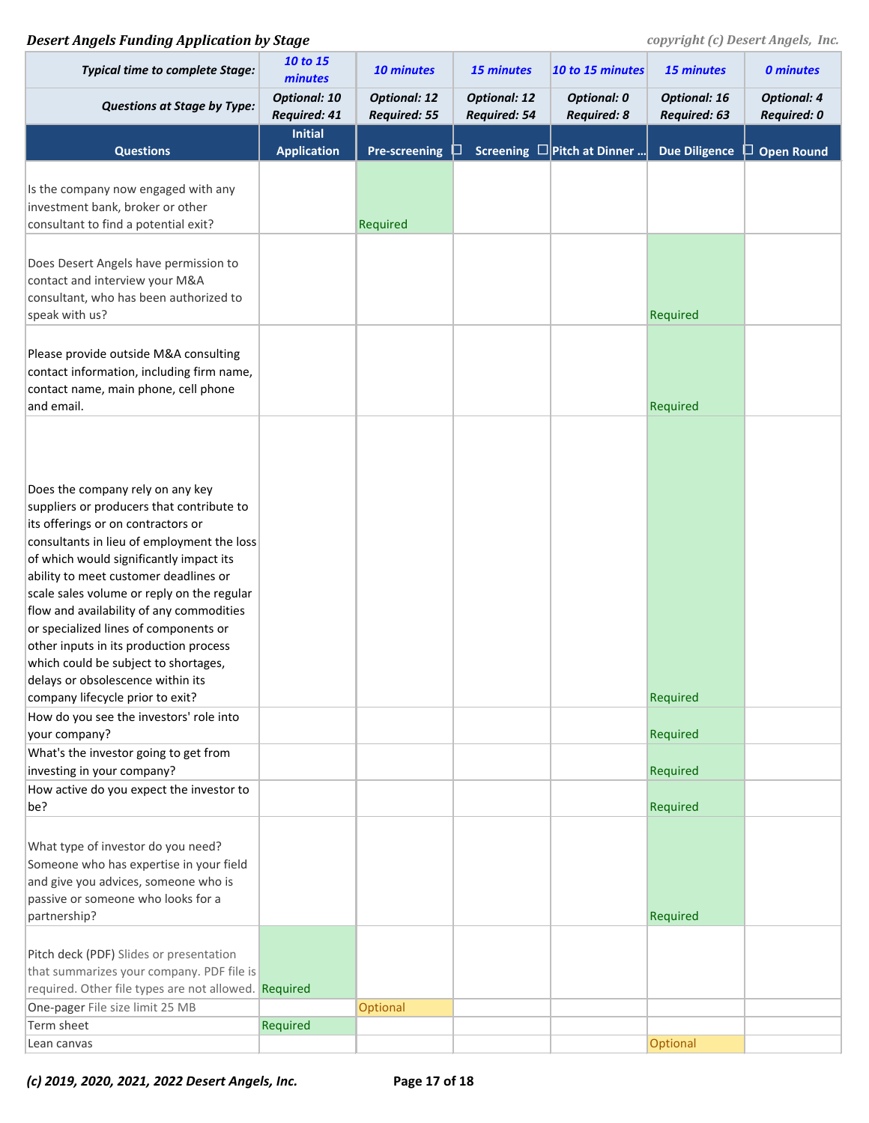## **Desert Angels Funding Application by Stage** *COPYPERSER <b>PERSON copyright (c) Desert Angels, Inc.*

| <b>Typical time to complete Stage:</b>                                                                                                                                                                                                                                                                                                                                                                                                                                                                                                                                                                                                                                                 | 10 to 15<br>minutes                  | 10 minutes                                 | 15 minutes                          | 10 to 15 minutes                         | <b>15 minutes</b>                   | <b>0 minutes</b>                         |
|----------------------------------------------------------------------------------------------------------------------------------------------------------------------------------------------------------------------------------------------------------------------------------------------------------------------------------------------------------------------------------------------------------------------------------------------------------------------------------------------------------------------------------------------------------------------------------------------------------------------------------------------------------------------------------------|--------------------------------------|--------------------------------------------|-------------------------------------|------------------------------------------|-------------------------------------|------------------------------------------|
| <b>Questions at Stage by Type:</b>                                                                                                                                                                                                                                                                                                                                                                                                                                                                                                                                                                                                                                                     | <b>Optional: 10</b><br>Required: 41  | <b>Optional: 12</b><br><b>Required: 55</b> | <b>Optional: 12</b><br>Required: 54 | <b>Optional: 0</b><br><b>Required: 8</b> | <b>Optional: 16</b><br>Required: 63 | <b>Optional: 4</b><br><b>Required: 0</b> |
| <b>Questions</b>                                                                                                                                                                                                                                                                                                                                                                                                                                                                                                                                                                                                                                                                       | <b>Initial</b><br><b>Application</b> | <b>Pre-screening</b>                       |                                     | Screening <b>D</b> Pitch at Dinner       | <b>Due Diligence</b>                | $\Box$ Open Round                        |
|                                                                                                                                                                                                                                                                                                                                                                                                                                                                                                                                                                                                                                                                                        |                                      |                                            |                                     |                                          |                                     |                                          |
| Is the company now engaged with any<br>investment bank, broker or other<br>consultant to find a potential exit?                                                                                                                                                                                                                                                                                                                                                                                                                                                                                                                                                                        |                                      | Required                                   |                                     |                                          |                                     |                                          |
| Does Desert Angels have permission to<br>contact and interview your M&A<br>consultant, who has been authorized to<br>speak with us?                                                                                                                                                                                                                                                                                                                                                                                                                                                                                                                                                    |                                      |                                            |                                     |                                          | Required                            |                                          |
| Please provide outside M&A consulting<br>contact information, including firm name,<br>contact name, main phone, cell phone<br>and email.                                                                                                                                                                                                                                                                                                                                                                                                                                                                                                                                               |                                      |                                            |                                     |                                          | Required                            |                                          |
| Does the company rely on any key<br>suppliers or producers that contribute to<br>its offerings or on contractors or<br>consultants in lieu of employment the loss<br>of which would significantly impact its<br>ability to meet customer deadlines or<br>scale sales volume or reply on the regular<br>flow and availability of any commodities<br>or specialized lines of components or<br>other inputs in its production process<br>which could be subject to shortages,<br>delays or obsolescence within its<br>company lifecycle prior to exit?<br>How do you see the investors' role into<br>your company?<br>What's the investor going to get from<br>investing in your company? |                                      |                                            |                                     |                                          | Required<br>Required<br>Required    |                                          |
| How active do you expect the investor to                                                                                                                                                                                                                                                                                                                                                                                                                                                                                                                                                                                                                                               |                                      |                                            |                                     |                                          |                                     |                                          |
| be?<br>What type of investor do you need?<br>Someone who has expertise in your field<br>and give you advices, someone who is<br>passive or someone who looks for a<br>partnership?                                                                                                                                                                                                                                                                                                                                                                                                                                                                                                     |                                      |                                            |                                     |                                          | Required<br>Required                |                                          |
| Pitch deck (PDF) Slides or presentation<br>that summarizes your company. PDF file is<br>required. Other file types are not allowed. Required<br>One-pager File size limit 25 MB<br>Term sheet                                                                                                                                                                                                                                                                                                                                                                                                                                                                                          | Required                             | Optional                                   |                                     |                                          |                                     |                                          |
| Lean canvas                                                                                                                                                                                                                                                                                                                                                                                                                                                                                                                                                                                                                                                                            |                                      |                                            |                                     |                                          | Optional                            |                                          |